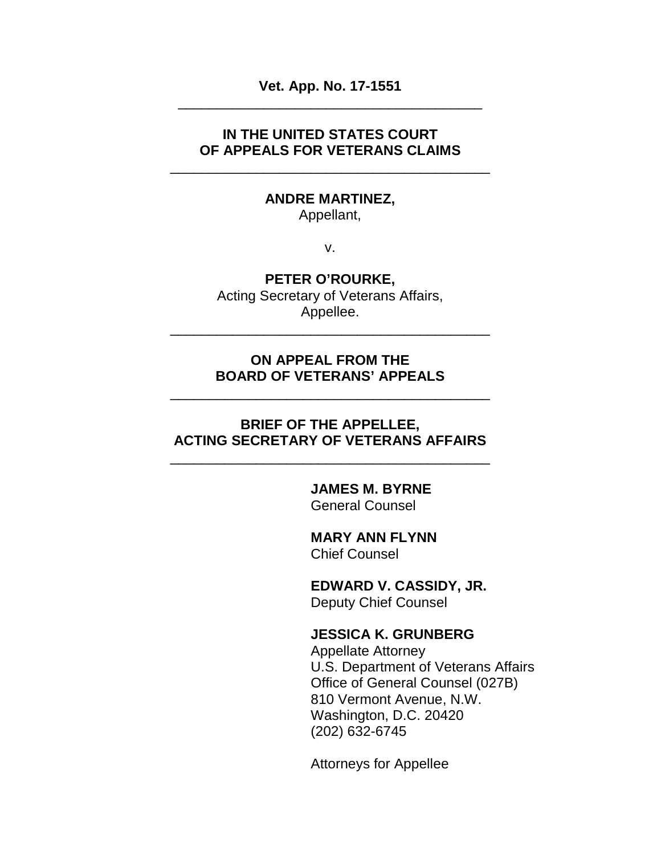**Vet. App. No. 17-1551** \_\_\_\_\_\_\_\_\_\_\_\_\_\_\_\_\_\_\_\_\_\_\_\_\_\_\_\_\_\_\_\_\_\_\_\_\_\_\_

### **IN THE UNITED STATES COURT OF APPEALS FOR VETERANS CLAIMS**

\_\_\_\_\_\_\_\_\_\_\_\_\_\_\_\_\_\_\_\_\_\_\_\_\_\_\_\_\_\_\_\_\_\_\_\_\_\_\_\_\_

#### **ANDRE MARTINEZ,**

Appellant,

v.

### **PETER O'ROURKE,**

Acting Secretary of Veterans Affairs, Appellee.

\_\_\_\_\_\_\_\_\_\_\_\_\_\_\_\_\_\_\_\_\_\_\_\_\_\_\_\_\_\_\_\_\_\_\_\_\_\_\_\_\_

### **ON APPEAL FROM THE BOARD OF VETERANS' APPEALS**

\_\_\_\_\_\_\_\_\_\_\_\_\_\_\_\_\_\_\_\_\_\_\_\_\_\_\_\_\_\_\_\_\_\_\_\_\_\_\_\_\_

### **BRIEF OF THE APPELLEE, ACTING SECRETARY OF VETERANS AFFAIRS**

\_\_\_\_\_\_\_\_\_\_\_\_\_\_\_\_\_\_\_\_\_\_\_\_\_\_\_\_\_\_\_\_\_\_\_\_\_\_\_\_\_

#### **JAMES M. BYRNE** General Counsel

**MARY ANN FLYNN** Chief Counsel

**EDWARD V. CASSIDY, JR.** Deputy Chief Counsel

### **JESSICA K. GRUNBERG**

Appellate Attorney U.S. Department of Veterans Affairs Office of General Counsel (027B) 810 Vermont Avenue, N.W. Washington, D.C. 20420 (202) 632-6745

Attorneys for Appellee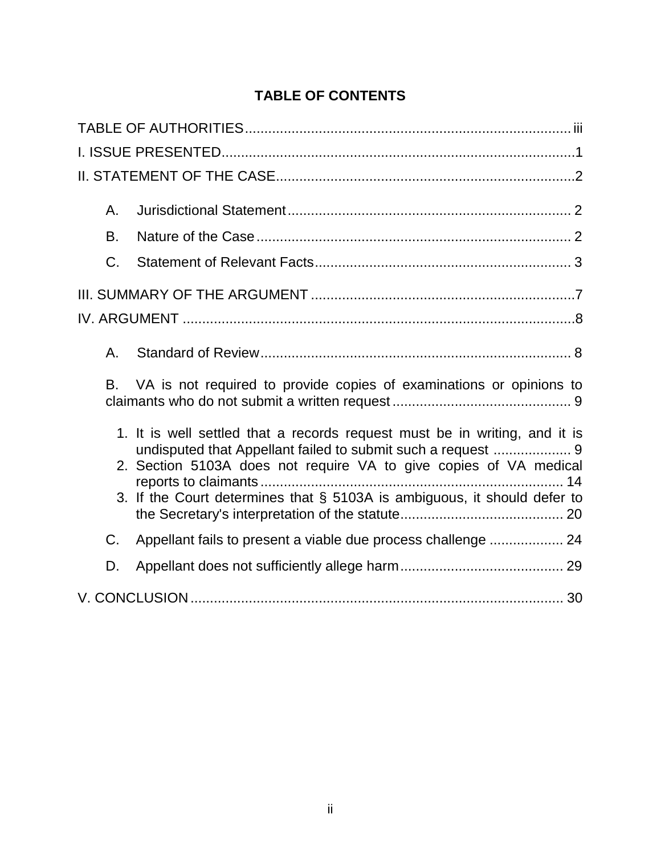# **TABLE OF CONTENTS**

| А.                                                                                                                                              |
|-------------------------------------------------------------------------------------------------------------------------------------------------|
| B.                                                                                                                                              |
| C.                                                                                                                                              |
|                                                                                                                                                 |
|                                                                                                                                                 |
| Α.                                                                                                                                              |
| VA is not required to provide copies of examinations or opinions to<br>В.                                                                       |
| 1. It is well settled that a records request must be in writing, and it is<br>2. Section 5103A does not require VA to give copies of VA medical |
| 3. If the Court determines that § 5103A is ambiguous, it should defer to                                                                        |
| Appellant fails to present a viable due process challenge  24<br>C.                                                                             |
| D.                                                                                                                                              |
|                                                                                                                                                 |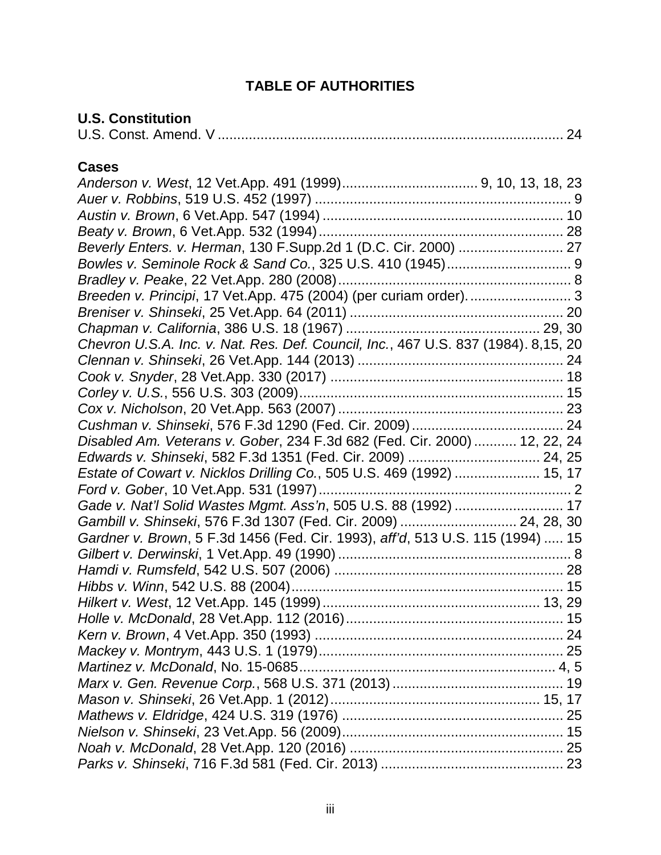# **TABLE OF AUTHORITIES**

# <span id="page-2-0"></span>**U.S. Constitution**

|--|--|--|--|

# **Cases**

| Breeden v. Principi, 17 Vet.App. 475 (2004) (per curiam order) 3                   |
|------------------------------------------------------------------------------------|
|                                                                                    |
|                                                                                    |
| Chevron U.S.A. Inc. v. Nat. Res. Def. Council, Inc., 467 U.S. 837 (1984). 8,15, 20 |
|                                                                                    |
|                                                                                    |
|                                                                                    |
|                                                                                    |
|                                                                                    |
| Disabled Am. Veterans v. Gober, 234 F.3d 682 (Fed. Cir. 2000)  12, 22, 24          |
|                                                                                    |
| Estate of Cowart v. Nicklos Drilling Co., 505 U.S. 469 (1992)  15, 17              |
|                                                                                    |
| Gade v. Nat'l Solid Wastes Mgmt. Ass'n, 505 U.S. 88 (1992)  17                     |
| Gambill v. Shinseki, 576 F.3d 1307 (Fed. Cir. 2009)  24, 28, 30                    |
| Gardner v. Brown, 5 F.3d 1456 (Fed. Cir. 1993), aff'd, 513 U.S. 115 (1994)  15     |
|                                                                                    |
|                                                                                    |
|                                                                                    |
|                                                                                    |
|                                                                                    |
|                                                                                    |
|                                                                                    |
|                                                                                    |
|                                                                                    |
|                                                                                    |
|                                                                                    |
|                                                                                    |
|                                                                                    |
|                                                                                    |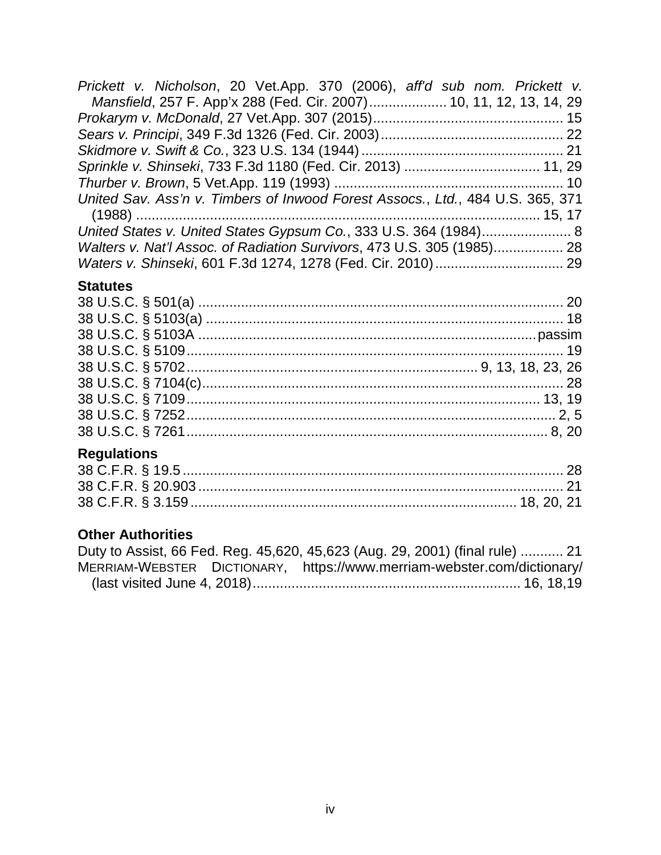| Prickett v. Nicholson, 20 Vet.App. 370 (2006), aff'd sub nom. Prickett v.      |  |
|--------------------------------------------------------------------------------|--|
| Mansfield, 257 F. App'x 288 (Fed. Cir. 2007) 10, 11, 12, 13, 14, 29            |  |
|                                                                                |  |
|                                                                                |  |
|                                                                                |  |
| Sprinkle v. Shinseki, 733 F.3d 1180 (Fed. Cir. 2013)  11, 29                   |  |
|                                                                                |  |
| United Sav. Ass'n v. Timbers of Inwood Forest Assocs., Ltd., 484 U.S. 365, 371 |  |
|                                                                                |  |
| United States v. United States Gypsum Co., 333 U.S. 364 (1984) 8               |  |
| Walters v. Nat'l Assoc. of Radiation Survivors, 473 U.S. 305 (1985) 28         |  |
|                                                                                |  |

# **Statutes**

# **Regulations**

# **Other Authorities**

|  | Duty to Assist, 66 Fed. Reg. 45,620, 45,623 (Aug. 29, 2001) (final rule)  21 |  |
|--|------------------------------------------------------------------------------|--|
|  | MERRIAM-WEBSTER DICTIONARY, https://www.merriam-webster.com/dictionary/      |  |
|  |                                                                              |  |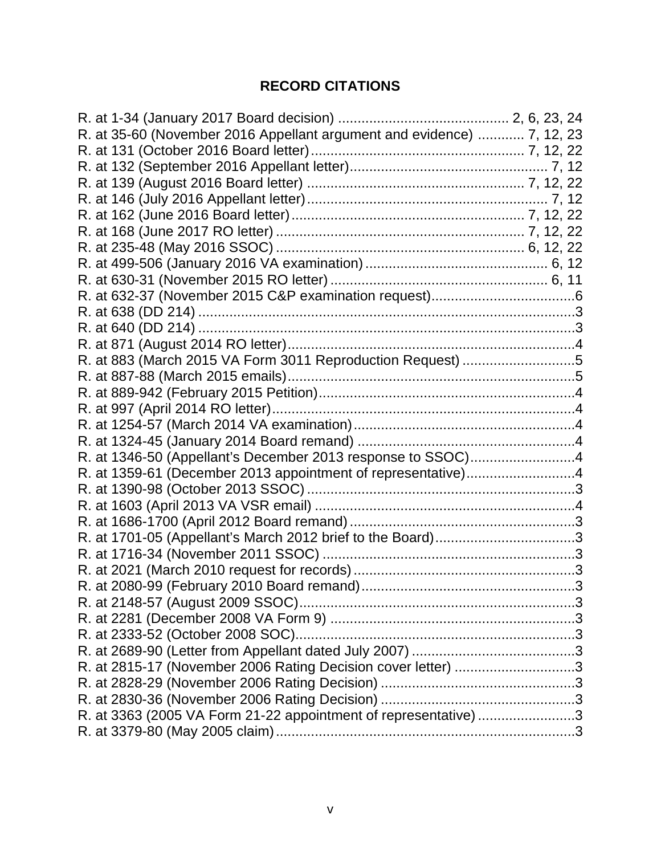# **RECORD CITATIONS**

| R. at 35-60 (November 2016 Appellant argument and evidence)  7, 12, 23 |  |
|------------------------------------------------------------------------|--|
|                                                                        |  |
|                                                                        |  |
|                                                                        |  |
|                                                                        |  |
|                                                                        |  |
|                                                                        |  |
|                                                                        |  |
|                                                                        |  |
|                                                                        |  |
|                                                                        |  |
|                                                                        |  |
|                                                                        |  |
|                                                                        |  |
| R. at 883 (March 2015 VA Form 3011 Reproduction Request) 5             |  |
|                                                                        |  |
|                                                                        |  |
|                                                                        |  |
|                                                                        |  |
|                                                                        |  |
| R. at 1346-50 (Appellant's December 2013 response to SSOC)4            |  |
| R. at 1359-61 (December 2013 appointment of representative)4           |  |
|                                                                        |  |
|                                                                        |  |
|                                                                        |  |
| R. at 1701-05 (Appellant's March 2012 brief to the Board)3             |  |
|                                                                        |  |
|                                                                        |  |
|                                                                        |  |
|                                                                        |  |
|                                                                        |  |
|                                                                        |  |
|                                                                        |  |
| R. at 2815-17 (November 2006 Rating Decision cover letter) 3           |  |
|                                                                        |  |
|                                                                        |  |
| R. at 3363 (2005 VA Form 21-22 appointment of representative) 3        |  |
|                                                                        |  |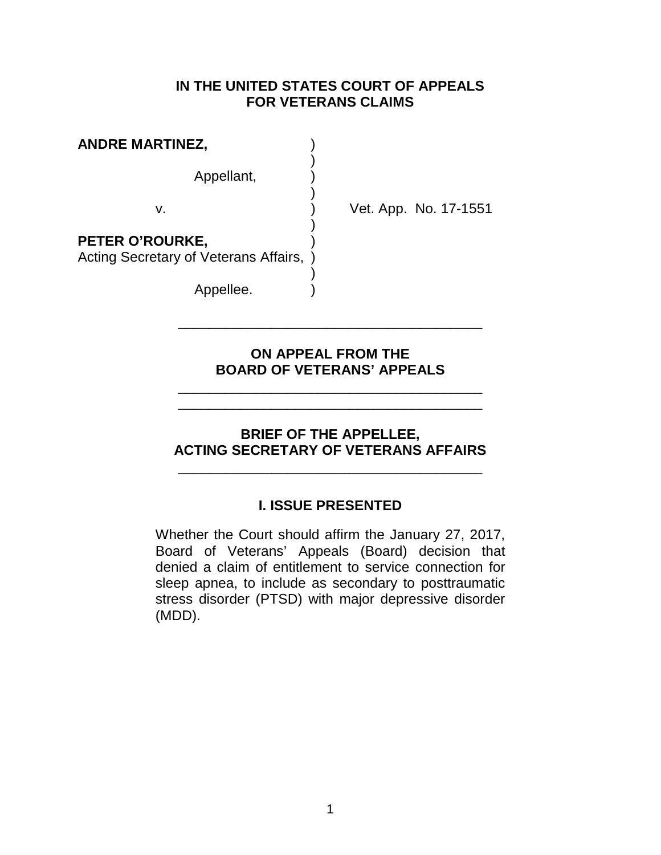### **IN THE UNITED STATES COURT OF APPEALS FOR VETERANS CLAIMS**

| <b>ANDRE MARTINEZ,</b>                                   |               |
|----------------------------------------------------------|---------------|
| Appellant,                                               |               |
| v                                                        |               |
| PETER O'ROURKE,<br>Acting Secretary of Veterans Affairs, | $\rightarrow$ |

Appellee.

Vet. App. No. 17-1551

## **ON APPEAL FROM THE BOARD OF VETERANS' APPEALS**

\_\_\_\_\_\_\_\_\_\_\_\_\_\_\_\_\_\_\_\_\_\_\_\_\_\_\_\_\_\_\_\_\_\_\_\_\_\_\_ \_\_\_\_\_\_\_\_\_\_\_\_\_\_\_\_\_\_\_\_\_\_\_\_\_\_\_\_\_\_\_\_\_\_\_\_\_\_\_

\_\_\_\_\_\_\_\_\_\_\_\_\_\_\_\_\_\_\_\_\_\_\_\_\_\_\_\_\_\_\_\_\_\_\_\_\_\_\_

# **BRIEF OF THE APPELLEE, ACTING SECRETARY OF VETERANS AFFAIRS**

\_\_\_\_\_\_\_\_\_\_\_\_\_\_\_\_\_\_\_\_\_\_\_\_\_\_\_\_\_\_\_\_\_\_\_\_\_\_\_

# **I. ISSUE PRESENTED**

<span id="page-5-0"></span>Whether the Court should affirm the January 27, 2017, Board of Veterans' Appeals (Board) decision that denied a claim of entitlement to service connection for sleep apnea, to include as secondary to posttraumatic stress disorder (PTSD) with major depressive disorder (MDD).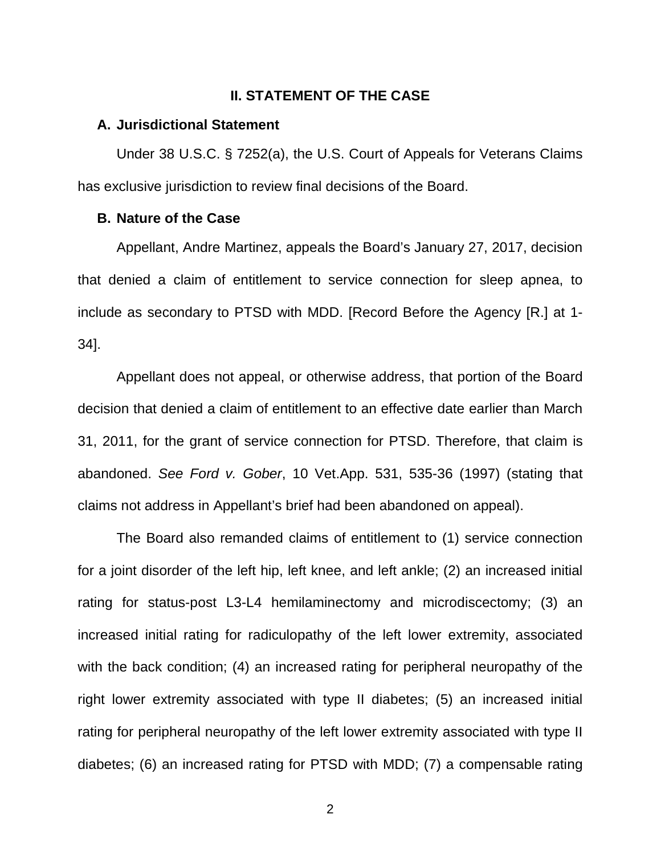### **II. STATEMENT OF THE CASE**

### <span id="page-6-1"></span><span id="page-6-0"></span>**A. Jurisdictional Statement**

Under 38 U.S.C. § 7252(a), the U.S. Court of Appeals for Veterans Claims has exclusive jurisdiction to review final decisions of the Board.

#### <span id="page-6-2"></span>**B. Nature of the Case**

Appellant, Andre Martinez, appeals the Board's January 27, 2017, decision that denied a claim of entitlement to service connection for sleep apnea, to include as secondary to PTSD with MDD. [Record Before the Agency [R.] at 1- 34].

Appellant does not appeal, or otherwise address, that portion of the Board decision that denied a claim of entitlement to an effective date earlier than March 31, 2011, for the grant of service connection for PTSD. Therefore, that claim is abandoned. *See Ford v. Gober*, 10 Vet.App. 531, 535-36 (1997) (stating that claims not address in Appellant's brief had been abandoned on appeal).

The Board also remanded claims of entitlement to (1) service connection for a joint disorder of the left hip, left knee, and left ankle; (2) an increased initial rating for status-post L3-L4 hemilaminectomy and microdiscectomy; (3) an increased initial rating for radiculopathy of the left lower extremity, associated with the back condition; (4) an increased rating for peripheral neuropathy of the right lower extremity associated with type II diabetes; (5) an increased initial rating for peripheral neuropathy of the left lower extremity associated with type II diabetes; (6) an increased rating for PTSD with MDD; (7) a compensable rating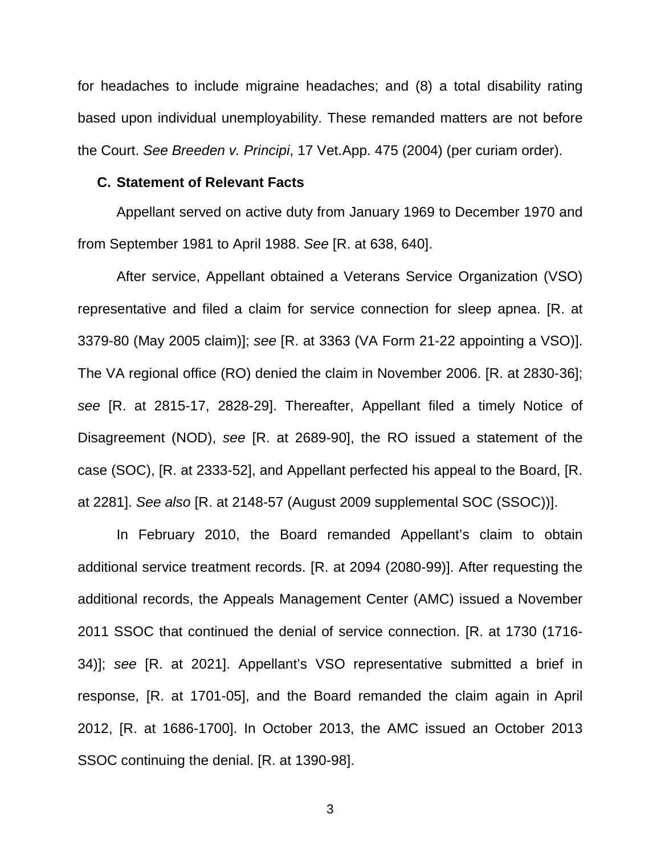for headaches to include migraine headaches; and (8) a total disability rating based upon individual unemployability. These remanded matters are not before the Court. *See Breeden v. Principi*, 17 Vet.App. 475 (2004) (per curiam order).

#### <span id="page-7-0"></span>**C. Statement of Relevant Facts**

Appellant served on active duty from January 1969 to December 1970 and from September 1981 to April 1988. *See* [R. at 638, 640].

After service, Appellant obtained a Veterans Service Organization (VSO) representative and filed a claim for service connection for sleep apnea. [R. at 3379-80 (May 2005 claim)]; *see* [R. at 3363 (VA Form 21-22 appointing a VSO)]. The VA regional office (RO) denied the claim in November 2006. [R. at 2830-36]; *see* [R. at 2815-17, 2828-29]. Thereafter, Appellant filed a timely Notice of Disagreement (NOD), *see* [R. at 2689-90], the RO issued a statement of the case (SOC), [R. at 2333-52], and Appellant perfected his appeal to the Board, [R. at 2281]. *See also* [R. at 2148-57 (August 2009 supplemental SOC (SSOC))].

In February 2010, the Board remanded Appellant's claim to obtain additional service treatment records. [R. at 2094 (2080-99)]. After requesting the additional records, the Appeals Management Center (AMC) issued a November 2011 SSOC that continued the denial of service connection. [R. at 1730 (1716- 34)]; *see* [R. at 2021]. Appellant's VSO representative submitted a brief in response, [R. at 1701-05], and the Board remanded the claim again in April 2012, [R. at 1686-1700]. In October 2013, the AMC issued an October 2013 SSOC continuing the denial. [R. at 1390-98].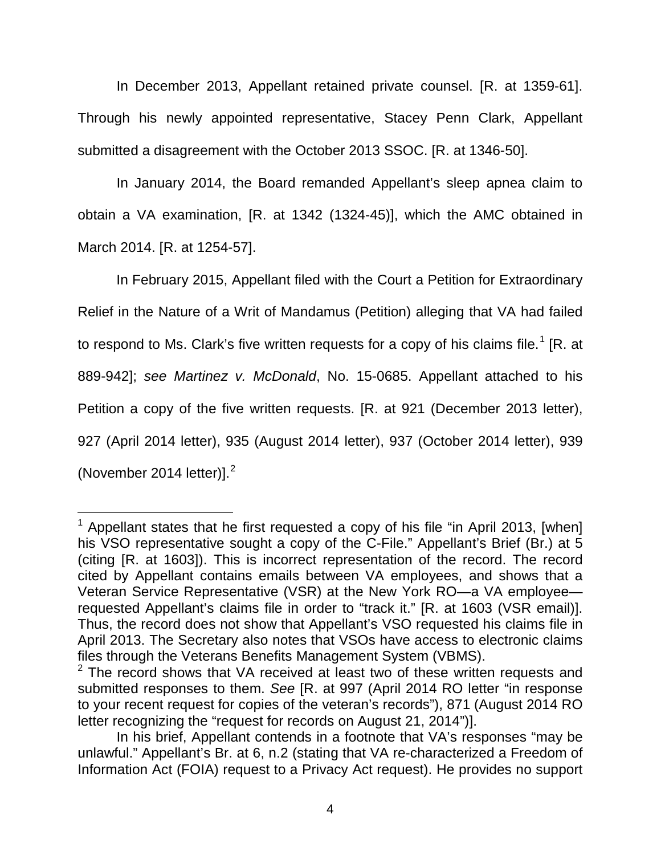In December 2013, Appellant retained private counsel. [R. at 1359-61]. Through his newly appointed representative, Stacey Penn Clark, Appellant submitted a disagreement with the October 2013 SSOC. [R. at 1346-50].

In January 2014, the Board remanded Appellant's sleep apnea claim to obtain a VA examination, [R. at 1342 (1324-45)], which the AMC obtained in March 2014. [R. at 1254-57].

In February 2015, Appellant filed with the Court a Petition for Extraordinary Relief in the Nature of a Writ of Mandamus (Petition) alleging that VA had failed to respond to Ms. Clark's five written requests for a copy of his claims file.<sup>[1](#page-8-0)</sup> [R. at 889-942]; *see Martinez v. McDonald*, No. 15-0685. Appellant attached to his Petition a copy of the five written requests. [R. at 921 (December 2013 letter), 927 (April 2014 letter), 935 (August 2014 letter), 937 (October 2014 letter), 939 (November [2](#page-8-1)014 letter)]. $<sup>2</sup>$ </sup>

<span id="page-8-0"></span> $\overline{a}$  $1$  Appellant states that he first requested a copy of his file "in April 2013, [when] his VSO representative sought a copy of the C-File." Appellant's Brief (Br.) at 5 (citing [R. at 1603]). This is incorrect representation of the record. The record cited by Appellant contains emails between VA employees, and shows that a Veteran Service Representative (VSR) at the New York RO—a VA employee requested Appellant's claims file in order to "track it." [R. at 1603 (VSR email)]. Thus, the record does not show that Appellant's VSO requested his claims file in April 2013. The Secretary also notes that VSOs have access to electronic claims files through the Veterans Benefits Management System (VBMS).

<span id="page-8-1"></span> $2$  The record shows that VA received at least two of these written requests and submitted responses to them. *See* [R. at 997 (April 2014 RO letter "in response to your recent request for copies of the veteran's records"), 871 (August 2014 RO letter recognizing the "request for records on August 21, 2014")].

In his brief, Appellant contends in a footnote that VA's responses "may be unlawful." Appellant's Br. at 6, n.2 (stating that VA re-characterized a Freedom of Information Act (FOIA) request to a Privacy Act request). He provides no support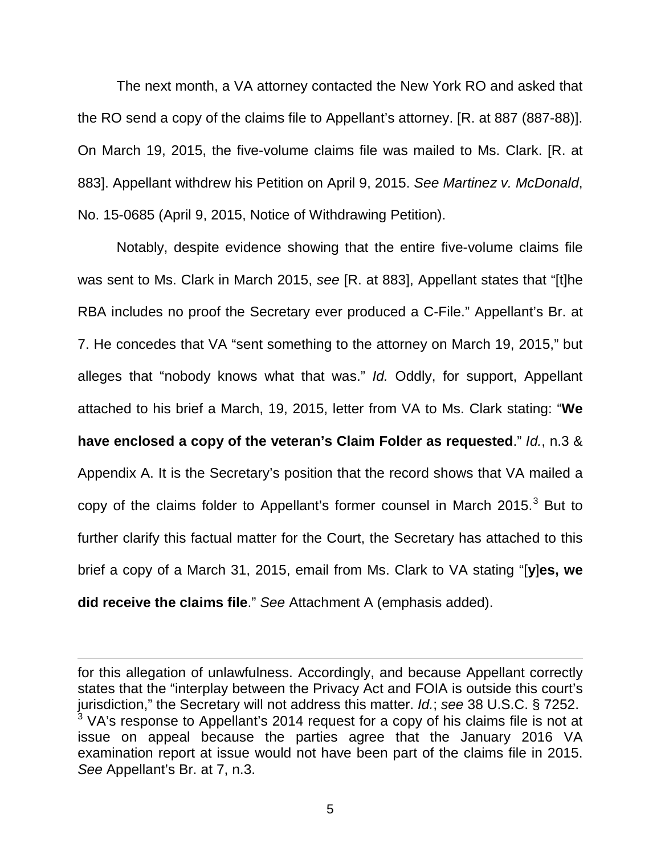The next month, a VA attorney contacted the New York RO and asked that the RO send a copy of the claims file to Appellant's attorney. [R. at 887 (887-88)]. On March 19, 2015, the five-volume claims file was mailed to Ms. Clark. [R. at 883]. Appellant withdrew his Petition on April 9, 2015. *See Martinez v. McDonald*, No. 15-0685 (April 9, 2015, Notice of Withdrawing Petition).

Notably, despite evidence showing that the entire five-volume claims file was sent to Ms. Clark in March 2015, *see* [R. at 883], Appellant states that "[t]he RBA includes no proof the Secretary ever produced a C-File." Appellant's Br. at 7. He concedes that VA "sent something to the attorney on March 19, 2015," but alleges that "nobody knows what that was." *Id.* Oddly, for support, Appellant attached to his brief a March, 19, 2015, letter from VA to Ms. Clark stating: "**We have enclosed a copy of the veteran's Claim Folder as requested**." *Id.*, n.3 & Appendix A. It is the Secretary's position that the record shows that VA mailed a copy of the claims folder to Appellant's former counsel in March 2015.<sup>[3](#page-9-0)</sup> But to further clarify this factual matter for the Court, the Secretary has attached to this brief a copy of a March 31, 2015, email from Ms. Clark to VA stating "[**y**]**es, we did receive the claims file**." *See* Attachment A (emphasis added).

 $\overline{a}$ 

<span id="page-9-0"></span>for this allegation of unlawfulness. Accordingly, and because Appellant correctly states that the "interplay between the Privacy Act and FOIA is outside this court's jurisdiction," the Secretary will not address this matter. *Id.*; see 38 U.S.C. § 7252.<br><sup>3</sup> VA's response to Appellant's 2014 request for a copy of his claims file is not at issue on appeal because the parties agree that the January 2016 VA examination report at issue would not have been part of the claims file in 2015. *See* Appellant's Br. at 7, n.3.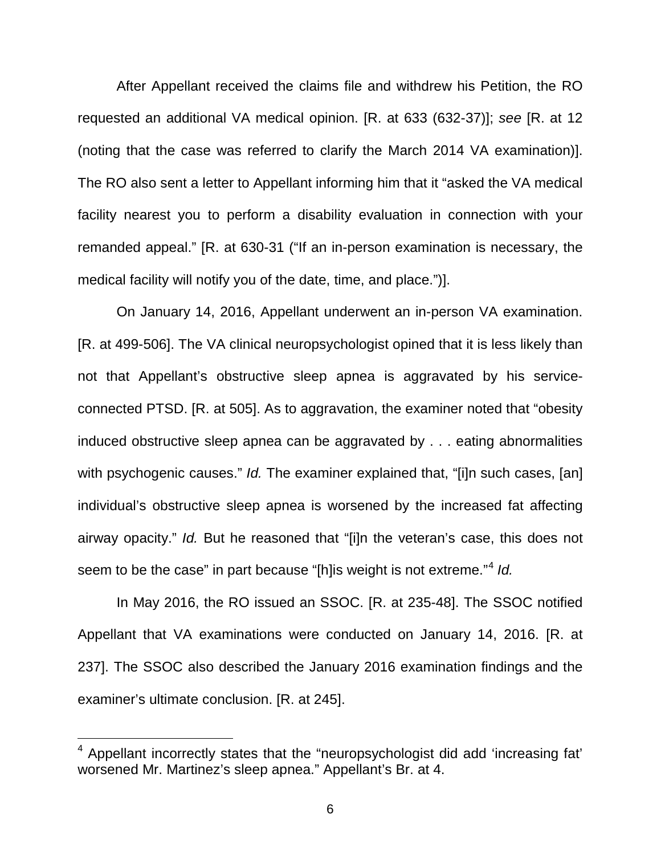After Appellant received the claims file and withdrew his Petition, the RO requested an additional VA medical opinion. [R. at 633 (632-37)]; *see* [R. at 12 (noting that the case was referred to clarify the March 2014 VA examination)]. The RO also sent a letter to Appellant informing him that it "asked the VA medical facility nearest you to perform a disability evaluation in connection with your remanded appeal." [R. at 630-31 ("If an in-person examination is necessary, the medical facility will notify you of the date, time, and place.")].

On January 14, 2016, Appellant underwent an in-person VA examination. [R. at 499-506]. The VA clinical neuropsychologist opined that it is less likely than not that Appellant's obstructive sleep apnea is aggravated by his serviceconnected PTSD. [R. at 505]. As to aggravation, the examiner noted that "obesity induced obstructive sleep apnea can be aggravated by . . . eating abnormalities with psychogenic causes." *Id.* The examiner explained that, "[i]n such cases, [an] individual's obstructive sleep apnea is worsened by the increased fat affecting airway opacity." *Id.* But he reasoned that "[i]n the veteran's case, this does not seem to be the case" in part because "[h]is weight is not extreme."[4](#page-10-0) *Id.*

In May 2016, the RO issued an SSOC. [R. at 235-48]. The SSOC notified Appellant that VA examinations were conducted on January 14, 2016. [R. at 237]. The SSOC also described the January 2016 examination findings and the examiner's ultimate conclusion. [R. at 245].

 $\overline{a}$ 

<span id="page-10-0"></span><sup>4</sup> Appellant incorrectly states that the "neuropsychologist did add 'increasing fat' worsened Mr. Martinez's sleep apnea." Appellant's Br. at 4.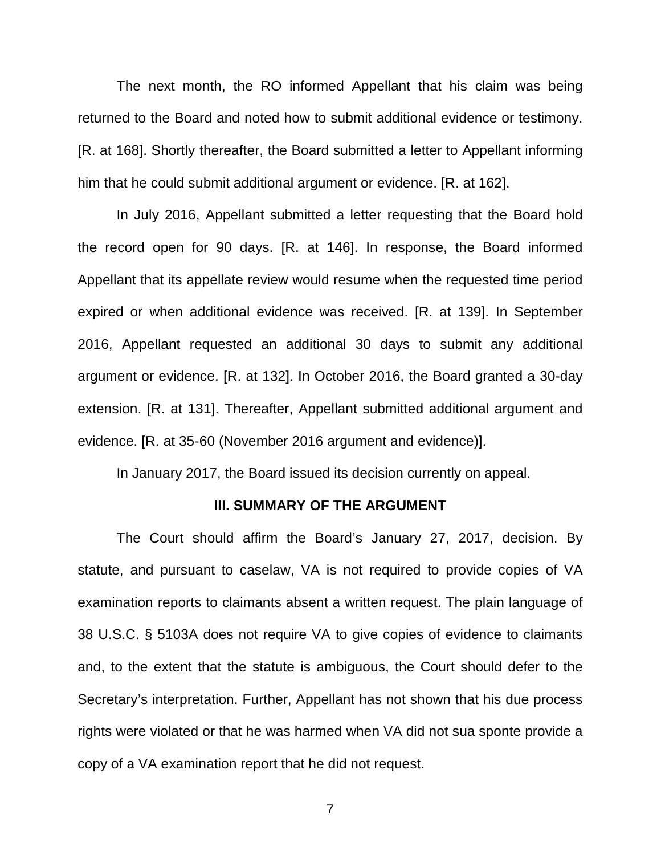The next month, the RO informed Appellant that his claim was being returned to the Board and noted how to submit additional evidence or testimony. [R. at 168]. Shortly thereafter, the Board submitted a letter to Appellant informing him that he could submit additional argument or evidence. [R. at 162].

In July 2016, Appellant submitted a letter requesting that the Board hold the record open for 90 days. [R. at 146]. In response, the Board informed Appellant that its appellate review would resume when the requested time period expired or when additional evidence was received. [R. at 139]. In September 2016, Appellant requested an additional 30 days to submit any additional argument or evidence. [R. at 132]. In October 2016, the Board granted a 30-day extension. [R. at 131]. Thereafter, Appellant submitted additional argument and evidence. [R. at 35-60 (November 2016 argument and evidence)].

In January 2017, the Board issued its decision currently on appeal.

### **III. SUMMARY OF THE ARGUMENT**

<span id="page-11-0"></span>The Court should affirm the Board's January 27, 2017, decision. By statute, and pursuant to caselaw, VA is not required to provide copies of VA examination reports to claimants absent a written request. The plain language of 38 U.S.C. § 5103A does not require VA to give copies of evidence to claimants and, to the extent that the statute is ambiguous, the Court should defer to the Secretary's interpretation. Further, Appellant has not shown that his due process rights were violated or that he was harmed when VA did not sua sponte provide a copy of a VA examination report that he did not request.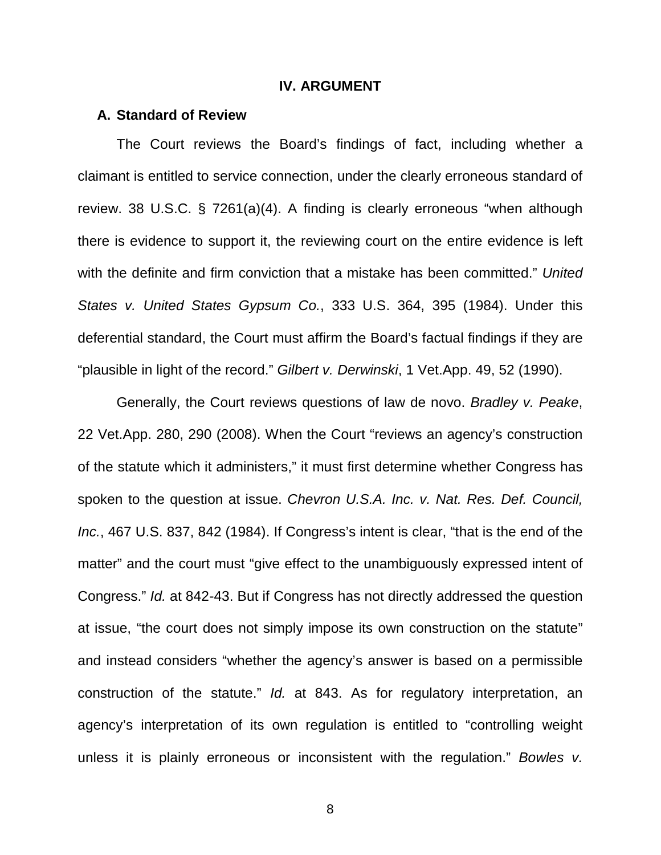#### **IV. ARGUMENT**

#### <span id="page-12-1"></span><span id="page-12-0"></span>**A. Standard of Review**

The Court reviews the Board's findings of fact, including whether a claimant is entitled to service connection, under the clearly erroneous standard of review. 38 U.S.C. § 7261(a)(4). A finding is clearly erroneous "when although there is evidence to support it, the reviewing court on the entire evidence is left with the definite and firm conviction that a mistake has been committed." *United States v. United States Gypsum Co.*, 333 U.S. 364, 395 (1984). Under this deferential standard, the Court must affirm the Board's factual findings if they are "plausible in light of the record." *Gilbert v. Derwinski*, 1 Vet.App. 49, 52 (1990).

Generally, the Court reviews questions of law de novo. *Bradley v. Peake*, 22 Vet.App. 280, 290 (2008). When the Court "reviews an agency's construction of the statute which it administers," it must first determine whether Congress has spoken to the question at issue. *Chevron U.S.A. Inc. v. Nat. Res. Def. Council, Inc.*, 467 U.S. 837, 842 (1984). If Congress's intent is clear, "that is the end of the matter" and the court must "give effect to the unambiguously expressed intent of Congress." *Id.* at 842-43. But if Congress has not directly addressed the question at issue, "the court does not simply impose its own construction on the statute" and instead considers "whether the agency's answer is based on a permissible construction of the statute." *Id.* at 843. As for regulatory interpretation, an agency's interpretation of its own regulation is entitled to "controlling weight unless it is plainly erroneous or inconsistent with the regulation." *Bowles v.*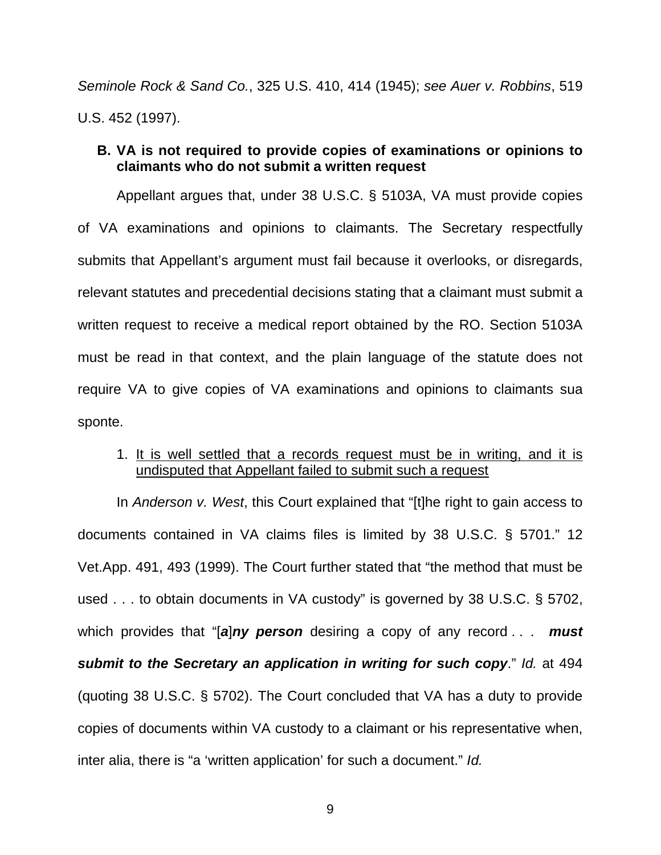*Seminole Rock & Sand Co.*, 325 U.S. 410, 414 (1945); *see Auer v. Robbins*, 519 U.S. 452 (1997).

### <span id="page-13-0"></span>**B. VA is not required to provide copies of examinations or opinions to claimants who do not submit a written request**

Appellant argues that, under 38 U.S.C. § 5103A, VA must provide copies of VA examinations and opinions to claimants. The Secretary respectfully submits that Appellant's argument must fail because it overlooks, or disregards, relevant statutes and precedential decisions stating that a claimant must submit a written request to receive a medical report obtained by the RO. Section 5103A must be read in that context, and the plain language of the statute does not require VA to give copies of VA examinations and opinions to claimants sua sponte.

### 1. It is well settled that a records request must be in writing, and it is undisputed that Appellant failed to submit such a request

In *Anderson v. West*, this Court explained that "[t]he right to gain access to documents contained in VA claims files is limited by 38 U.S.C. § 5701." 12 Vet.App. 491, 493 (1999). The Court further stated that "the method that must be used . . . to obtain documents in VA custody" is governed by 38 U.S.C. § 5702, which provides that "[*a*]*ny person* desiring a copy of any record . . . *must submit to the Secretary an application in writing for such copy*." *Id.* at 494 (quoting 38 U.S.C. § 5702). The Court concluded that VA has a duty to provide copies of documents within VA custody to a claimant or his representative when, inter alia, there is "a 'written application' for such a document." *Id.*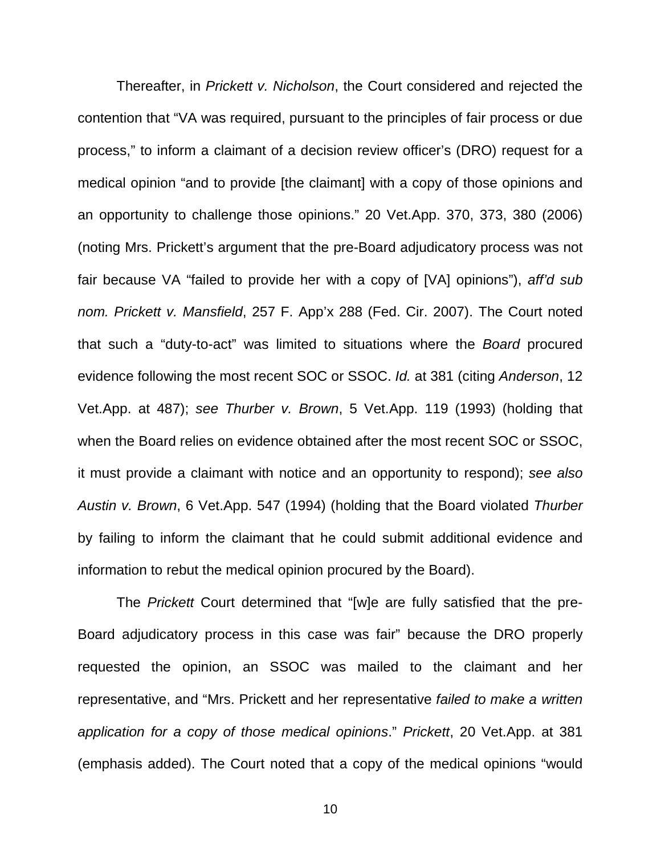Thereafter, in *Prickett v. Nicholson*, the Court considered and rejected the contention that "VA was required, pursuant to the principles of fair process or due process," to inform a claimant of a decision review officer's (DRO) request for a medical opinion "and to provide [the claimant] with a copy of those opinions and an opportunity to challenge those opinions." 20 Vet.App. 370, 373, 380 (2006) (noting Mrs. Prickett's argument that the pre-Board adjudicatory process was not fair because VA "failed to provide her with a copy of [VA] opinions"), *aff'd sub nom. Prickett v. Mansfield*, 257 F. App'x 288 (Fed. Cir. 2007). The Court noted that such a "duty-to-act" was limited to situations where the *Board* procured evidence following the most recent SOC or SSOC. *Id.* at 381 (citing *Anderson*, 12 Vet.App. at 487); *see Thurber v. Brown*, 5 Vet.App. 119 (1993) (holding that when the Board relies on evidence obtained after the most recent SOC or SSOC, it must provide a claimant with notice and an opportunity to respond); *see also Austin v. Brown*, 6 Vet.App. 547 (1994) (holding that the Board violated *Thurber* by failing to inform the claimant that he could submit additional evidence and information to rebut the medical opinion procured by the Board).

The *Prickett* Court determined that "[w]e are fully satisfied that the pre-Board adjudicatory process in this case was fair" because the DRO properly requested the opinion, an SSOC was mailed to the claimant and her representative, and "Mrs. Prickett and her representative *failed to make a written application for a copy of those medical opinions*." *Prickett*, 20 Vet.App. at 381 (emphasis added). The Court noted that a copy of the medical opinions "would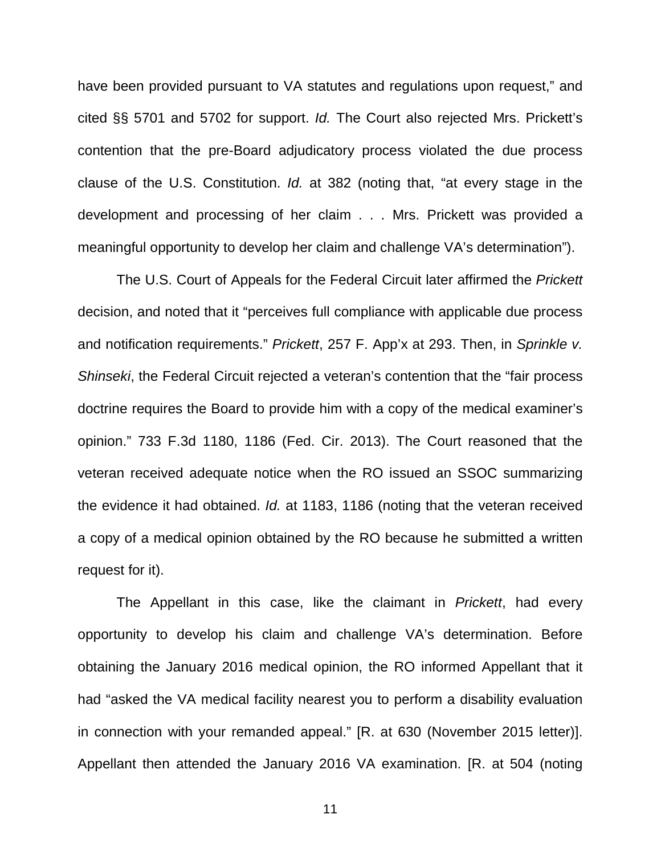have been provided pursuant to VA statutes and regulations upon request," and cited §§ 5701 and 5702 for support. *Id.* The Court also rejected Mrs. Prickett's contention that the pre-Board adjudicatory process violated the due process clause of the U.S. Constitution. *Id.* at 382 (noting that, "at every stage in the development and processing of her claim . . . Mrs. Prickett was provided a meaningful opportunity to develop her claim and challenge VA's determination").

The U.S. Court of Appeals for the Federal Circuit later affirmed the *Prickett* decision, and noted that it "perceives full compliance with applicable due process and notification requirements." *Prickett*, 257 F. App'x at 293. Then, in *Sprinkle v. Shinseki*, the Federal Circuit rejected a veteran's contention that the "fair process doctrine requires the Board to provide him with a copy of the medical examiner's opinion." 733 F.3d 1180, 1186 (Fed. Cir. 2013). The Court reasoned that the veteran received adequate notice when the RO issued an SSOC summarizing the evidence it had obtained. *Id.* at 1183, 1186 (noting that the veteran received a copy of a medical opinion obtained by the RO because he submitted a written request for it).

The Appellant in this case, like the claimant in *Prickett*, had every opportunity to develop his claim and challenge VA's determination. Before obtaining the January 2016 medical opinion, the RO informed Appellant that it had "asked the VA medical facility nearest you to perform a disability evaluation in connection with your remanded appeal." [R. at 630 (November 2015 letter)]. Appellant then attended the January 2016 VA examination. [R. at 504 (noting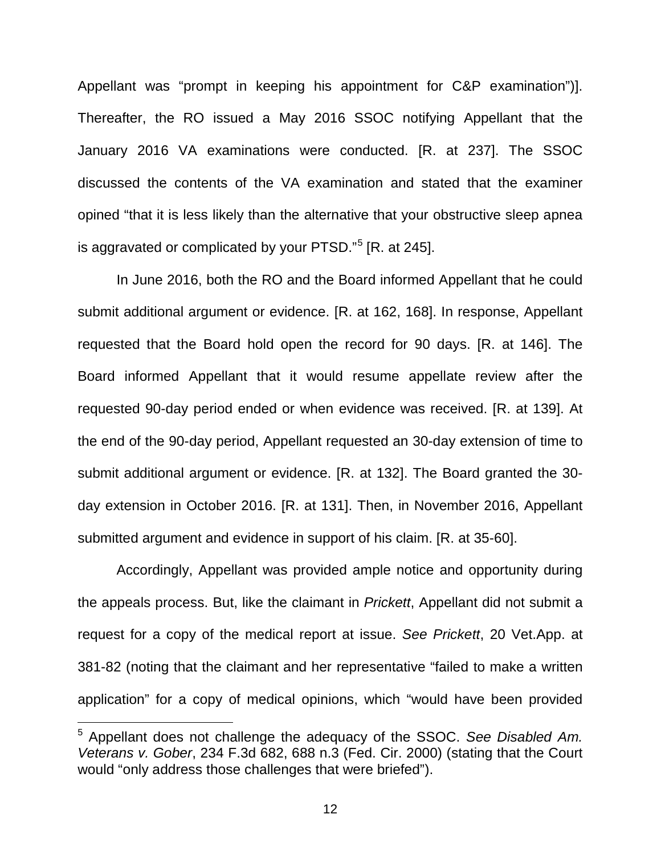Appellant was "prompt in keeping his appointment for C&P examination")]. Thereafter, the RO issued a May 2016 SSOC notifying Appellant that the January 2016 VA examinations were conducted. [R. at 237]. The SSOC discussed the contents of the VA examination and stated that the examiner opined "that it is less likely than the alternative that your obstructive sleep apnea is aggravated or complicated by your PTSD."<sup>[5](#page-16-0)</sup> [R. at 245].

In June 2016, both the RO and the Board informed Appellant that he could submit additional argument or evidence. [R. at 162, 168]. In response, Appellant requested that the Board hold open the record for 90 days. [R. at 146]. The Board informed Appellant that it would resume appellate review after the requested 90-day period ended or when evidence was received. [R. at 139]. At the end of the 90-day period, Appellant requested an 30-day extension of time to submit additional argument or evidence. [R. at 132]. The Board granted the 30 day extension in October 2016. [R. at 131]. Then, in November 2016, Appellant submitted argument and evidence in support of his claim. [R. at 35-60].

Accordingly, Appellant was provided ample notice and opportunity during the appeals process. But, like the claimant in *Prickett*, Appellant did not submit a request for a copy of the medical report at issue. *See Prickett*, 20 Vet.App. at 381-82 (noting that the claimant and her representative "failed to make a written application" for a copy of medical opinions, which "would have been provided

 $\overline{a}$ 

<span id="page-16-0"></span><sup>5</sup> Appellant does not challenge the adequacy of the SSOC. *See Disabled Am. Veterans v. Gober*, 234 F.3d 682, 688 n.3 (Fed. Cir. 2000) (stating that the Court would "only address those challenges that were briefed").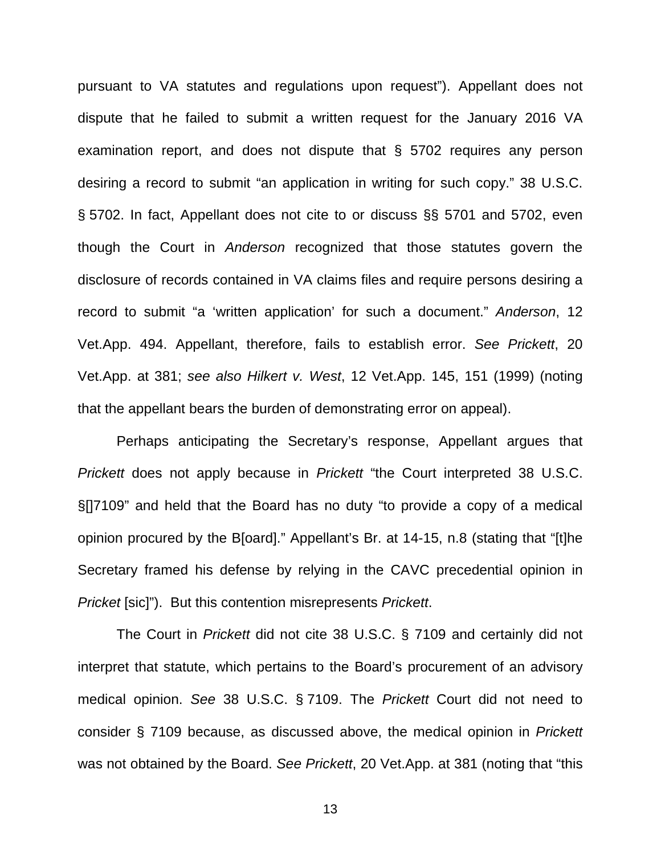pursuant to VA statutes and regulations upon request"). Appellant does not dispute that he failed to submit a written request for the January 2016 VA examination report, and does not dispute that § 5702 requires any person desiring a record to submit "an application in writing for such copy." 38 U.S.C. § 5702. In fact, Appellant does not cite to or discuss §§ 5701 and 5702, even though the Court in *Anderson* recognized that those statutes govern the disclosure of records contained in VA claims files and require persons desiring a record to submit "a 'written application' for such a document." *Anderson*, 12 Vet.App. 494. Appellant, therefore, fails to establish error. *See Prickett*, 20 Vet.App. at 381; *see also Hilkert v. West*, 12 Vet.App. 145, 151 (1999) (noting that the appellant bears the burden of demonstrating error on appeal).

Perhaps anticipating the Secretary's response, Appellant argues that *Prickett* does not apply because in *Prickett* "the Court interpreted 38 U.S.C. §[]7109" and held that the Board has no duty "to provide a copy of a medical opinion procured by the B[oard]." Appellant's Br. at 14-15, n.8 (stating that "[t]he Secretary framed his defense by relying in the CAVC precedential opinion in *Pricket* [sic]"). But this contention misrepresents *Prickett*.

The Court in *Prickett* did not cite 38 U.S.C. § 7109 and certainly did not interpret that statute, which pertains to the Board's procurement of an advisory medical opinion. *See* 38 U.S.C. § 7109. The *Prickett* Court did not need to consider § 7109 because, as discussed above, the medical opinion in *Prickett* was not obtained by the Board. *See Prickett*, 20 Vet.App. at 381 (noting that "this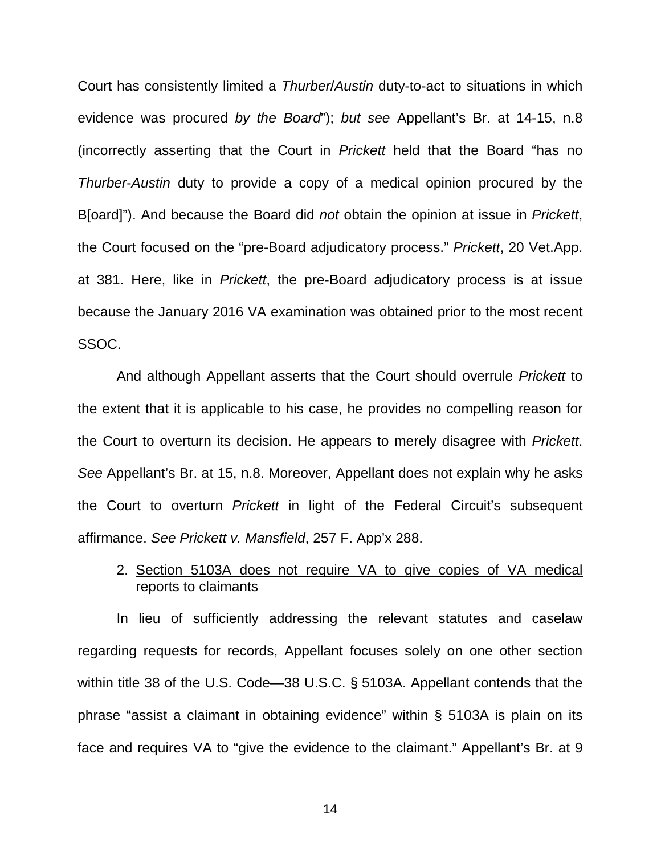Court has consistently limited a *Thurber*/*Austin* duty-to-act to situations in which evidence was procured *by the Board*"); *but see* Appellant's Br. at 14-15, n.8 (incorrectly asserting that the Court in *Prickett* held that the Board "has no *Thurber*-*Austin* duty to provide a copy of a medical opinion procured by the B[oard]"). And because the Board did *not* obtain the opinion at issue in *Prickett*, the Court focused on the "pre-Board adjudicatory process." *Prickett*, 20 Vet.App. at 381. Here, like in *Prickett*, the pre-Board adjudicatory process is at issue because the January 2016 VA examination was obtained prior to the most recent SSOC.

And although Appellant asserts that the Court should overrule *Prickett* to the extent that it is applicable to his case, he provides no compelling reason for the Court to overturn its decision. He appears to merely disagree with *Prickett*. *See* Appellant's Br. at 15, n.8. Moreover, Appellant does not explain why he asks the Court to overturn *Prickett* in light of the Federal Circuit's subsequent affirmance. *See Prickett v. Mansfield*, 257 F. App'x 288.

## 2. Section 5103A does not require VA to give copies of VA medical reports to claimants

In lieu of sufficiently addressing the relevant statutes and caselaw regarding requests for records, Appellant focuses solely on one other section within title 38 of the U.S. Code—38 U.S.C. § 5103A. Appellant contends that the phrase "assist a claimant in obtaining evidence" within § 5103A is plain on its face and requires VA to "give the evidence to the claimant." Appellant's Br. at 9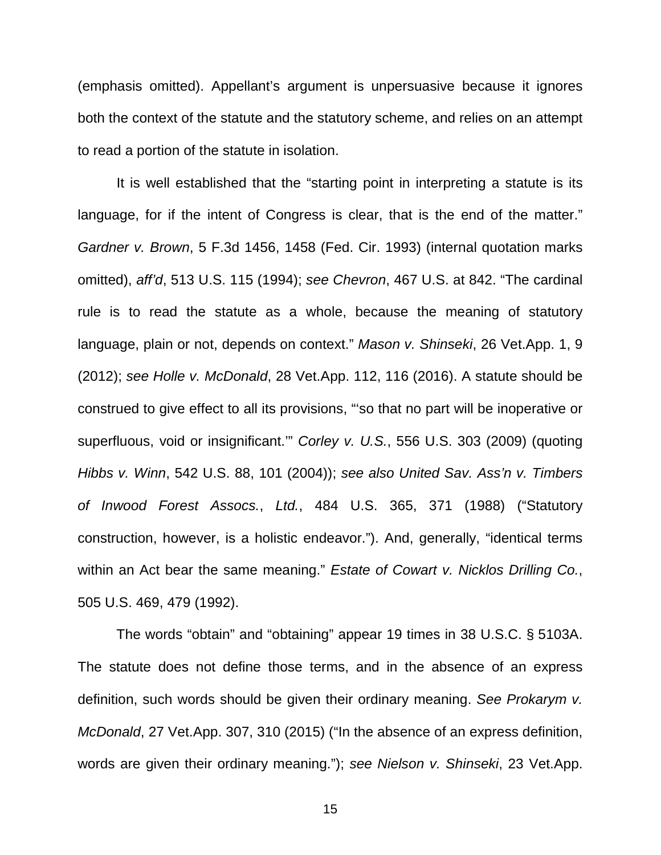(emphasis omitted). Appellant's argument is unpersuasive because it ignores both the context of the statute and the statutory scheme, and relies on an attempt to read a portion of the statute in isolation.

It is well established that the "starting point in interpreting a statute is its language, for if the intent of Congress is clear, that is the end of the matter." *Gardner v. Brown*, 5 F.3d 1456, 1458 (Fed. Cir. 1993) (internal quotation marks omitted), *aff'd*, 513 U.S. 115 (1994); *see Chevron*, 467 U.S. at 842. "The cardinal rule is to read the statute as a whole, because the meaning of statutory language, plain or not, depends on context." *Mason v. Shinseki*, 26 Vet.App. 1, 9 (2012); *see Holle v. McDonald*, 28 Vet.App. 112, 116 (2016). A statute should be construed to give effect to all its provisions, "'so that no part will be inoperative or superfluous, void or insignificant.'" *Corley v. U.S.*, 556 U.S. 303 (2009) (quoting *Hibbs v. Winn*, 542 U.S. 88, 101 (2004)); *see also United Sav. Ass'n v. Timbers of Inwood Forest Assocs.*, *Ltd.*, 484 U.S. 365, 371 (1988) ("Statutory construction, however, is a holistic endeavor."). And, generally, "identical terms within an Act bear the same meaning." *Estate of Cowart v. Nicklos Drilling Co.*, 505 U.S. 469, 479 (1992).

The words "obtain" and "obtaining" appear 19 times in 38 U.S.C. § 5103A. The statute does not define those terms, and in the absence of an express definition, such words should be given their ordinary meaning. *See Prokarym v. McDonald*, 27 Vet.App. 307, 310 (2015) ("In the absence of an express definition, words are given their ordinary meaning."); *see Nielson v. Shinseki*, 23 Vet.App.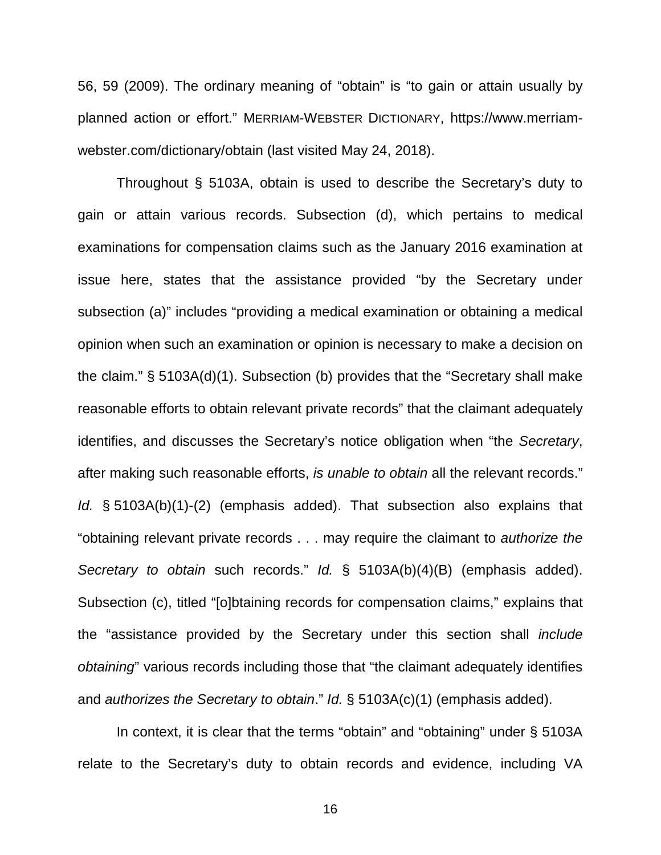56, 59 (2009). The ordinary meaning of "obtain" is "to gain or attain usually by planned action or effort." MERRIAM-WEBSTER DICTIONARY, https://www.merriamwebster.com/dictionary/obtain (last visited May 24, 2018).

Throughout § 5103A, obtain is used to describe the Secretary's duty to gain or attain various records. Subsection (d), which pertains to medical examinations for compensation claims such as the January 2016 examination at issue here, states that the assistance provided "by the Secretary under subsection (a)" includes "providing a medical examination or obtaining a medical opinion when such an examination or opinion is necessary to make a decision on the claim." § 5103A(d)(1). Subsection (b) provides that the "Secretary shall make reasonable efforts to obtain relevant private records" that the claimant adequately identifies, and discusses the Secretary's notice obligation when "the *Secretary*, after making such reasonable efforts, *is unable to obtain* all the relevant records." *Id.* § 5103A(b)(1)-(2) (emphasis added). That subsection also explains that "obtaining relevant private records . . . may require the claimant to *authorize the Secretary to obtain* such records." *Id.* § 5103A(b)(4)(B) (emphasis added). Subsection (c), titled "[o]btaining records for compensation claims," explains that the "assistance provided by the Secretary under this section shall *include obtaining*" various records including those that "the claimant adequately identifies and *authorizes the Secretary to obtain*." *Id.* § 5103A(c)(1) (emphasis added).

In context, it is clear that the terms "obtain" and "obtaining" under § 5103A relate to the Secretary's duty to obtain records and evidence, including VA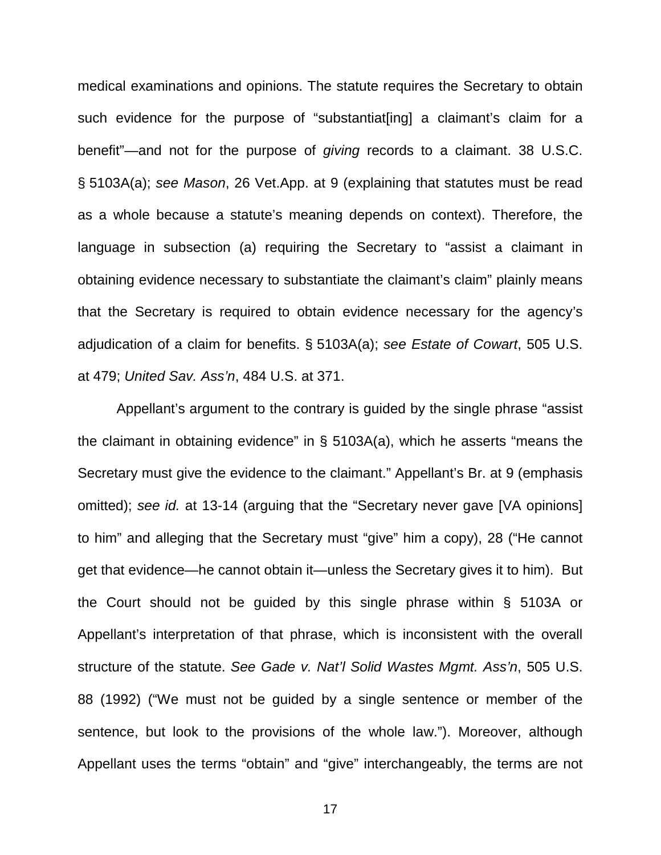medical examinations and opinions. The statute requires the Secretary to obtain such evidence for the purpose of "substantiat[ing] a claimant's claim for a benefit"—and not for the purpose of *giving* records to a claimant. 38 U.S.C. § 5103A(a); *see Mason*, 26 Vet.App. at 9 (explaining that statutes must be read as a whole because a statute's meaning depends on context). Therefore, the language in subsection (a) requiring the Secretary to "assist a claimant in obtaining evidence necessary to substantiate the claimant's claim" plainly means that the Secretary is required to obtain evidence necessary for the agency's adjudication of a claim for benefits. § 5103A(a); *see Estate of Cowart*, 505 U.S. at 479; *United Sav. Ass'n*, 484 U.S. at 371.

Appellant's argument to the contrary is guided by the single phrase "assist the claimant in obtaining evidence" in § 5103A(a), which he asserts "means the Secretary must give the evidence to the claimant." Appellant's Br. at 9 (emphasis omitted); *see id.* at 13-14 (arguing that the "Secretary never gave [VA opinions] to him" and alleging that the Secretary must "give" him a copy), 28 ("He cannot get that evidence—he cannot obtain it—unless the Secretary gives it to him). But the Court should not be guided by this single phrase within § 5103A or Appellant's interpretation of that phrase, which is inconsistent with the overall structure of the statute. *See Gade v. Nat'l Solid Wastes Mgmt. Ass'n*, 505 U.S. 88 (1992) ("We must not be guided by a single sentence or member of the sentence, but look to the provisions of the whole law."). Moreover, although Appellant uses the terms "obtain" and "give" interchangeably, the terms are not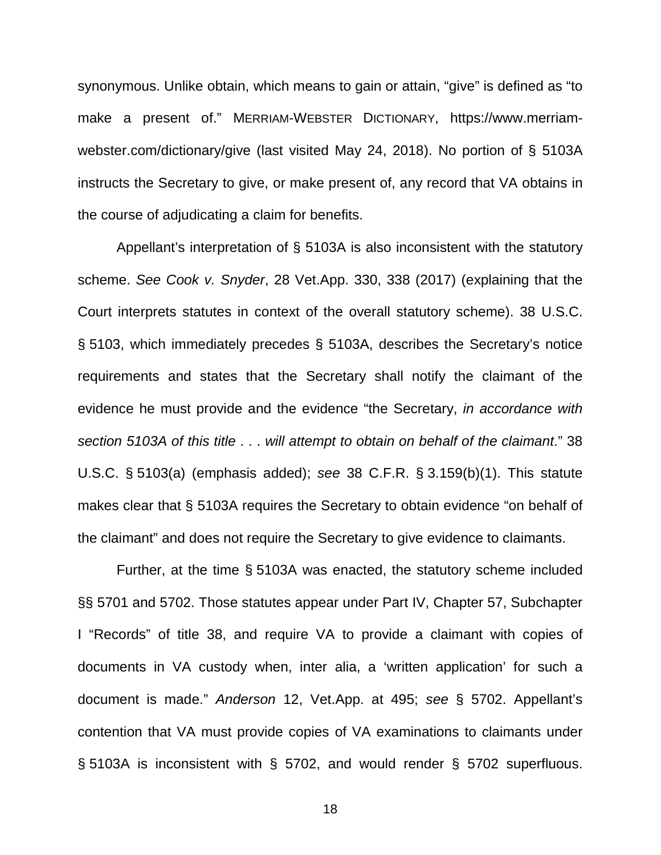synonymous. Unlike obtain, which means to gain or attain, "give" is defined as "to make a present of." MERRIAM-WEBSTER DICTIONARY, https://www.merriamwebster.com/dictionary/give (last visited May 24, 2018). No portion of § 5103A instructs the Secretary to give, or make present of, any record that VA obtains in the course of adjudicating a claim for benefits.

Appellant's interpretation of § 5103A is also inconsistent with the statutory scheme. *See Cook v. Snyder*, 28 Vet.App. 330, 338 (2017) (explaining that the Court interprets statutes in context of the overall statutory scheme). 38 U.S.C. § 5103, which immediately precedes § 5103A, describes the Secretary's notice requirements and states that the Secretary shall notify the claimant of the evidence he must provide and the evidence "the Secretary, *in accordance with section 5103A of this title* . . . *will attempt to obtain on behalf of the claimant*." 38 U.S.C. § 5103(a) (emphasis added); *see* 38 C.F.R. § 3.159(b)(1). This statute makes clear that § 5103A requires the Secretary to obtain evidence "on behalf of the claimant" and does not require the Secretary to give evidence to claimants.

Further, at the time § 5103A was enacted, the statutory scheme included §§ 5701 and 5702. Those statutes appear under Part IV, Chapter 57, Subchapter I "Records" of title 38, and require VA to provide a claimant with copies of documents in VA custody when, inter alia, a 'written application' for such a document is made." *Anderson* 12, Vet.App. at 495; *see* § 5702. Appellant's contention that VA must provide copies of VA examinations to claimants under § 5103A is inconsistent with § 5702, and would render § 5702 superfluous.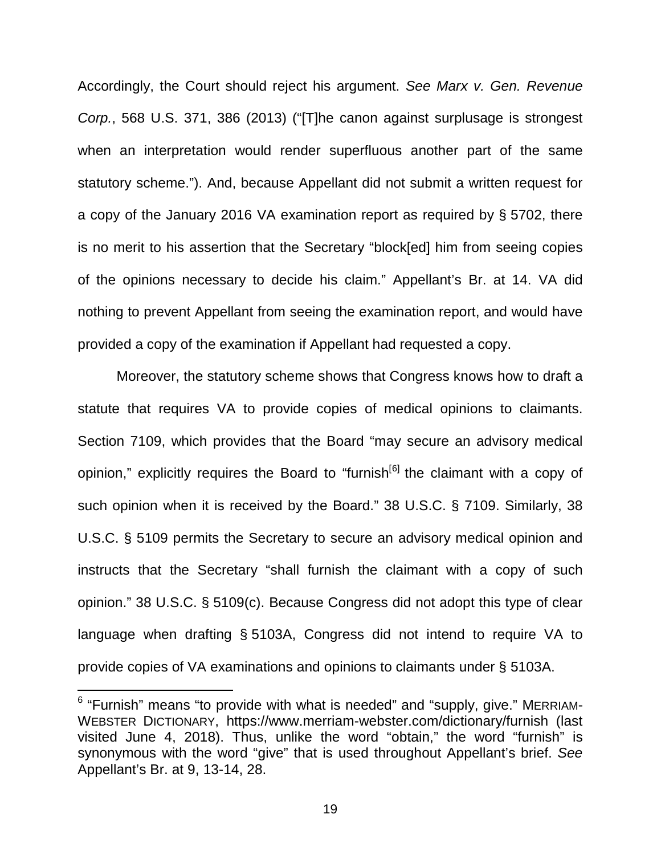Accordingly, the Court should reject his argument. *See Marx v. Gen. Revenue Corp.*, 568 U.S. 371, 386 (2013) ("[T]he canon against surplusage is strongest when an interpretation would render superfluous another part of the same statutory scheme."). And, because Appellant did not submit a written request for a copy of the January 2016 VA examination report as required by § 5702, there is no merit to his assertion that the Secretary "block[ed] him from seeing copies of the opinions necessary to decide his claim." Appellant's Br. at 14. VA did nothing to prevent Appellant from seeing the examination report, and would have provided a copy of the examination if Appellant had requested a copy.

Moreover, the statutory scheme shows that Congress knows how to draft a statute that requires VA to provide copies of medical opinions to claimants. Section 7109, which provides that the Board "may secure an advisory medical opinion," explicitly requires the Board to "furnish<sup>[[6](#page-23-0)]</sup> the claimant with a copy of such opinion when it is received by the Board." 38 U.S.C. § 7109. Similarly, 38 U.S.C. § 5109 permits the Secretary to secure an advisory medical opinion and instructs that the Secretary "shall furnish the claimant with a copy of such opinion." 38 U.S.C. § 5109(c). Because Congress did not adopt this type of clear language when drafting § 5103A, Congress did not intend to require VA to provide copies of VA examinations and opinions to claimants under § 5103A.

 $\overline{a}$ 

<span id="page-23-0"></span> $^6$  "Furnish" means "to provide with what is needed" and "supply, give." MERRIAM-WEBSTER DICTIONARY, https://www.merriam-webster.com/dictionary/furnish (last visited June 4, 2018). Thus, unlike the word "obtain," the word "furnish" is synonymous with the word "give" that is used throughout Appellant's brief. *See*  Appellant's Br. at 9, 13-14, 28.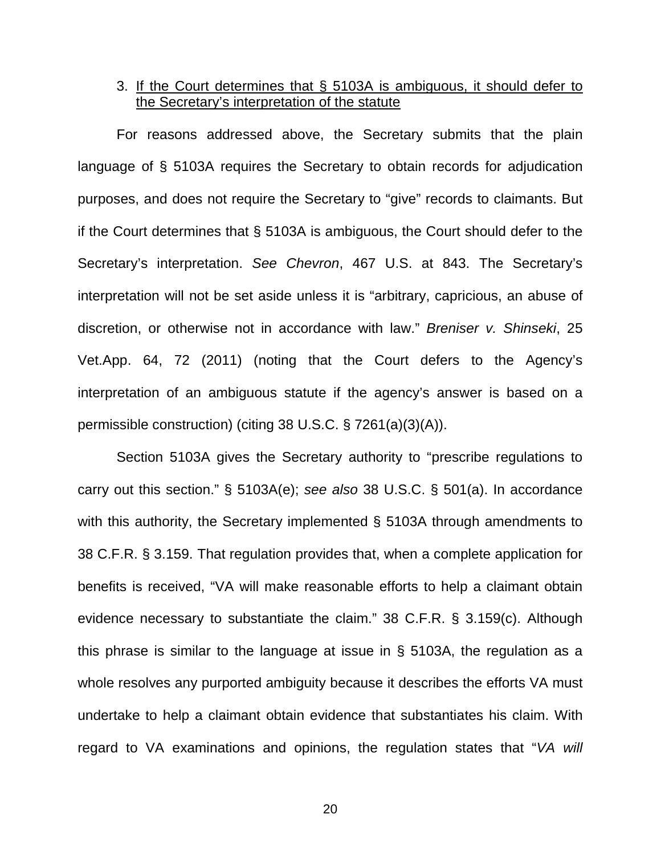### 3. If the Court determines that § 5103A is ambiguous, it should defer to the Secretary's interpretation of the statute

For reasons addressed above, the Secretary submits that the plain language of § 5103A requires the Secretary to obtain records for adjudication purposes, and does not require the Secretary to "give" records to claimants. But if the Court determines that § 5103A is ambiguous, the Court should defer to the Secretary's interpretation. *See Chevron*, 467 U.S. at 843. The Secretary's interpretation will not be set aside unless it is "arbitrary, capricious, an abuse of discretion, or otherwise not in accordance with law." *Breniser v. Shinseki*, 25 Vet.App. 64, 72 (2011) (noting that the Court defers to the Agency's interpretation of an ambiguous statute if the agency's answer is based on a permissible construction) (citing 38 U.S.C. § 7261(a)(3)(A)).

Section 5103A gives the Secretary authority to "prescribe regulations to carry out this section." § 5103A(e); *see also* 38 U.S.C. § 501(a). In accordance with this authority, the Secretary implemented § 5103A through amendments to 38 C.F.R. § 3.159. That regulation provides that, when a complete application for benefits is received, "VA will make reasonable efforts to help a claimant obtain evidence necessary to substantiate the claim." 38 C.F.R. § 3.159(c). Although this phrase is similar to the language at issue in § 5103A, the regulation as a whole resolves any purported ambiguity because it describes the efforts VA must undertake to help a claimant obtain evidence that substantiates his claim. With regard to VA examinations and opinions, the regulation states that "*VA will*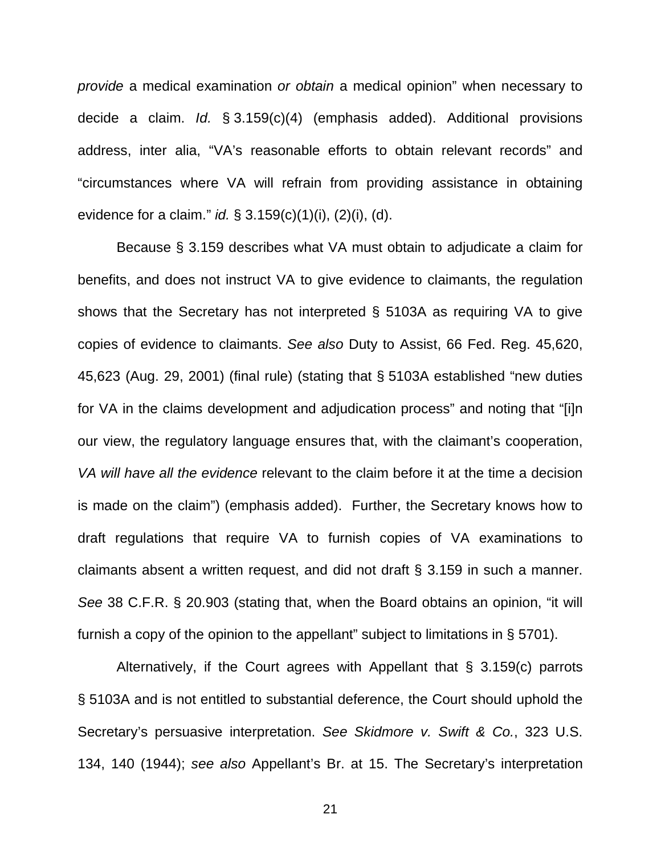*provide* a medical examination *or obtain* a medical opinion" when necessary to decide a claim. *Id.* § 3.159(c)(4) (emphasis added). Additional provisions address, inter alia, "VA's reasonable efforts to obtain relevant records" and "circumstances where VA will refrain from providing assistance in obtaining evidence for a claim." *id.* § 3.159(c)(1)(i), (2)(i), (d).

Because § 3.159 describes what VA must obtain to adjudicate a claim for benefits, and does not instruct VA to give evidence to claimants, the regulation shows that the Secretary has not interpreted § 5103A as requiring VA to give copies of evidence to claimants. *See also* Duty to Assist, 66 Fed. Reg. 45,620, 45,623 (Aug. 29, 2001) (final rule) (stating that § 5103A established "new duties for VA in the claims development and adjudication process" and noting that "[i]n our view, the regulatory language ensures that, with the claimant's cooperation, *VA will have all the evidence* relevant to the claim before it at the time a decision is made on the claim") (emphasis added). Further, the Secretary knows how to draft regulations that require VA to furnish copies of VA examinations to claimants absent a written request, and did not draft § 3.159 in such a manner. *See* 38 C.F.R. § 20.903 (stating that, when the Board obtains an opinion, "it will furnish a copy of the opinion to the appellant" subject to limitations in § 5701).

Alternatively, if the Court agrees with Appellant that § 3.159(c) parrots § 5103A and is not entitled to substantial deference, the Court should uphold the Secretary's persuasive interpretation. *See Skidmore v. Swift & Co.*, 323 U.S. 134, 140 (1944); *see also* Appellant's Br. at 15. The Secretary's interpretation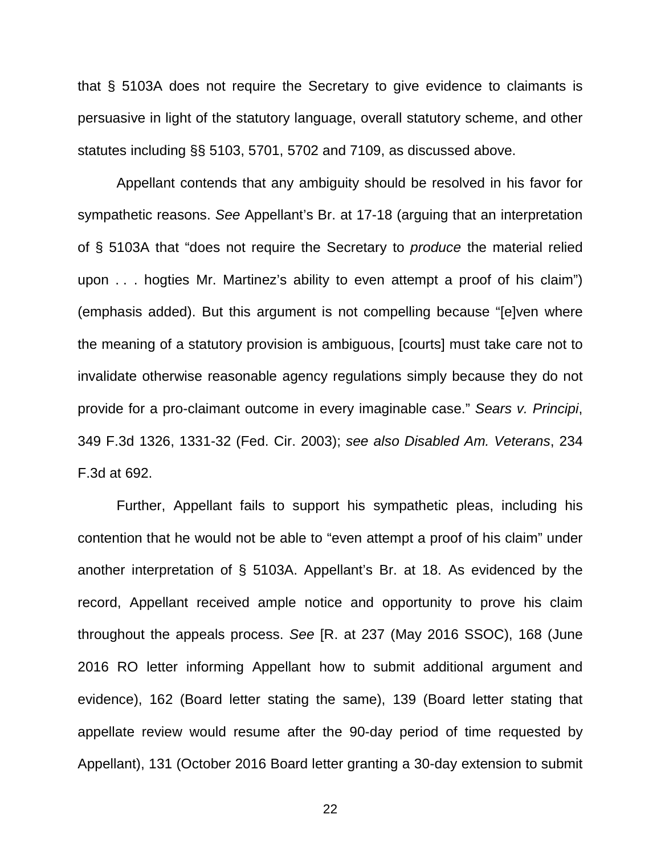that § 5103A does not require the Secretary to give evidence to claimants is persuasive in light of the statutory language, overall statutory scheme, and other statutes including §§ 5103, 5701, 5702 and 7109, as discussed above.

Appellant contends that any ambiguity should be resolved in his favor for sympathetic reasons. *See* Appellant's Br. at 17-18 (arguing that an interpretation of § 5103A that "does not require the Secretary to *produce* the material relied upon . . . hogties Mr. Martinez's ability to even attempt a proof of his claim") (emphasis added). But this argument is not compelling because "[e]ven where the meaning of a statutory provision is ambiguous, [courts] must take care not to invalidate otherwise reasonable agency regulations simply because they do not provide for a pro-claimant outcome in every imaginable case." *Sears v. Principi*, 349 F.3d 1326, 1331-32 (Fed. Cir. 2003); *see also Disabled Am. Veterans*, 234 F.3d at 692.

Further, Appellant fails to support his sympathetic pleas, including his contention that he would not be able to "even attempt a proof of his claim" under another interpretation of § 5103A. Appellant's Br. at 18. As evidenced by the record, Appellant received ample notice and opportunity to prove his claim throughout the appeals process. *See* [R. at 237 (May 2016 SSOC), 168 (June 2016 RO letter informing Appellant how to submit additional argument and evidence), 162 (Board letter stating the same), 139 (Board letter stating that appellate review would resume after the 90-day period of time requested by Appellant), 131 (October 2016 Board letter granting a 30-day extension to submit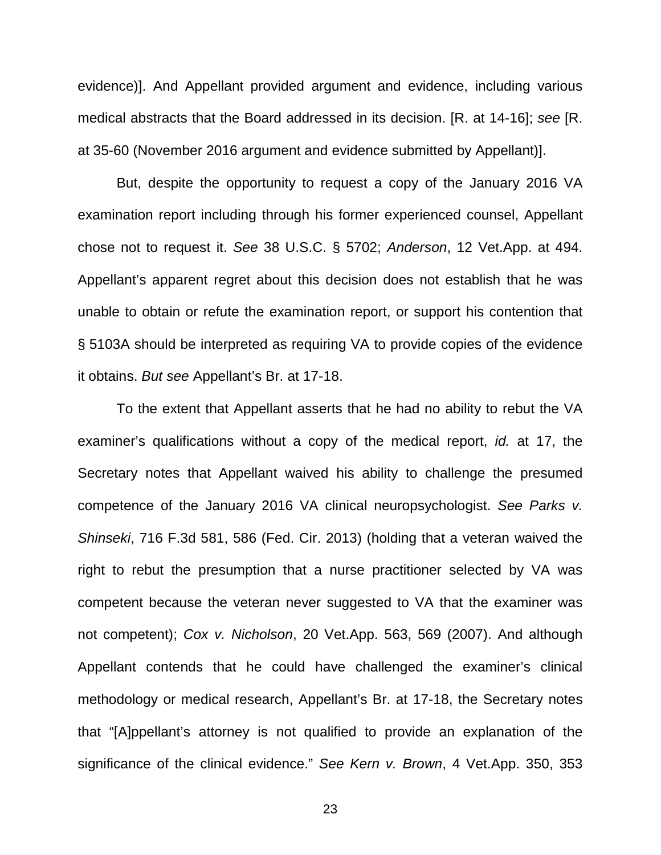evidence)]. And Appellant provided argument and evidence, including various medical abstracts that the Board addressed in its decision. [R. at 14-16]; *see* [R. at 35-60 (November 2016 argument and evidence submitted by Appellant)].

But, despite the opportunity to request a copy of the January 2016 VA examination report including through his former experienced counsel, Appellant chose not to request it. *See* 38 U.S.C. § 5702; *Anderson*, 12 Vet.App. at 494. Appellant's apparent regret about this decision does not establish that he was unable to obtain or refute the examination report, or support his contention that § 5103A should be interpreted as requiring VA to provide copies of the evidence it obtains. *But see* Appellant's Br. at 17-18.

To the extent that Appellant asserts that he had no ability to rebut the VA examiner's qualifications without a copy of the medical report, *id.* at 17, the Secretary notes that Appellant waived his ability to challenge the presumed competence of the January 2016 VA clinical neuropsychologist. *See Parks v. Shinseki*, 716 F.3d 581, 586 (Fed. Cir. 2013) (holding that a veteran waived the right to rebut the presumption that a nurse practitioner selected by VA was competent because the veteran never suggested to VA that the examiner was not competent); *Cox v. Nicholson*, 20 Vet.App. 563, 569 (2007). And although Appellant contends that he could have challenged the examiner's clinical methodology or medical research, Appellant's Br. at 17-18, the Secretary notes that "[A]ppellant's attorney is not qualified to provide an explanation of the significance of the clinical evidence." *See Kern v. Brown*, 4 Vet.App. 350, 353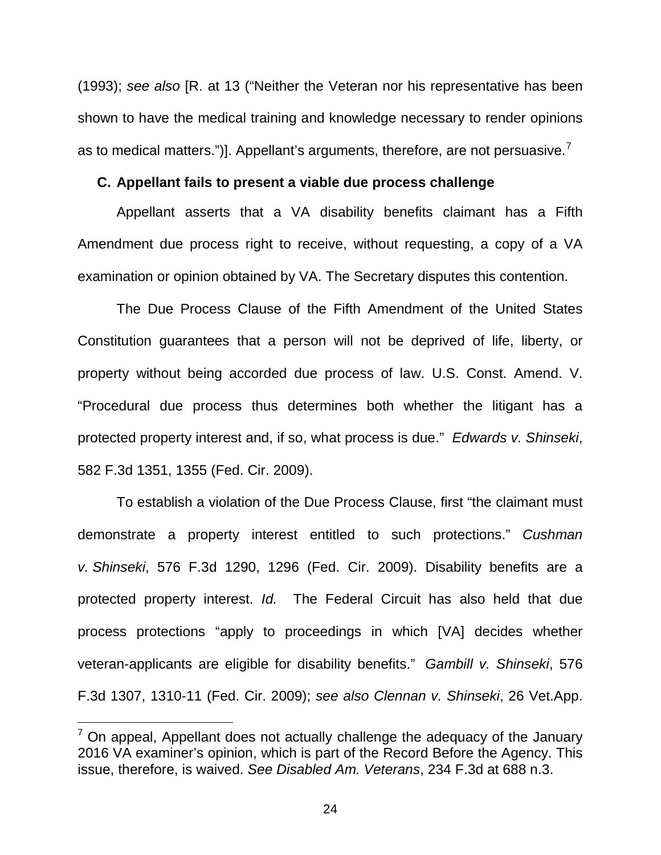(1993); *see also* [R. at 13 ("Neither the Veteran nor his representative has been shown to have the medical training and knowledge necessary to render opinions as to medical matters.")]. Appellant's arguments, therefore, are not persuasive. $<sup>7</sup>$  $<sup>7</sup>$  $<sup>7</sup>$ </sup>

#### <span id="page-28-0"></span>**C. Appellant fails to present a viable due process challenge**

Appellant asserts that a VA disability benefits claimant has a Fifth Amendment due process right to receive, without requesting, a copy of a VA examination or opinion obtained by VA. The Secretary disputes this contention.

The Due Process Clause of the Fifth Amendment of the United States Constitution guarantees that a person will not be deprived of life, liberty, or property without being accorded due process of law. U.S. Const. Amend. V. "Procedural due process thus determines both whether the litigant has a protected property interest and, if so, what process is due." *Edwards v. Shinseki*, 582 F.3d 1351, 1355 (Fed. Cir. 2009).

To establish a violation of the Due Process Clause, first "the claimant must demonstrate a property interest entitled to such protections." *Cushman v. Shinseki*, 576 F.3d 1290, 1296 (Fed. Cir. 2009). Disability benefits are a protected property interest. *Id.* The Federal Circuit has also held that due process protections "apply to proceedings in which [VA] decides whether veteran-applicants are eligible for disability benefits." *Gambill v. Shinseki*, 576 F.3d 1307, 1310-11 (Fed. Cir. 2009); *see also Clennan v. Shinseki*, 26 Vet.App.

 $\overline{a}$ 

<span id="page-28-1"></span> $<sup>7</sup>$  On appeal. Appellant does not actually challenge the adequacy of the January</sup> 2016 VA examiner's opinion, which is part of the Record Before the Agency. This issue, therefore, is waived. *See Disabled Am. Veterans*, 234 F.3d at 688 n.3.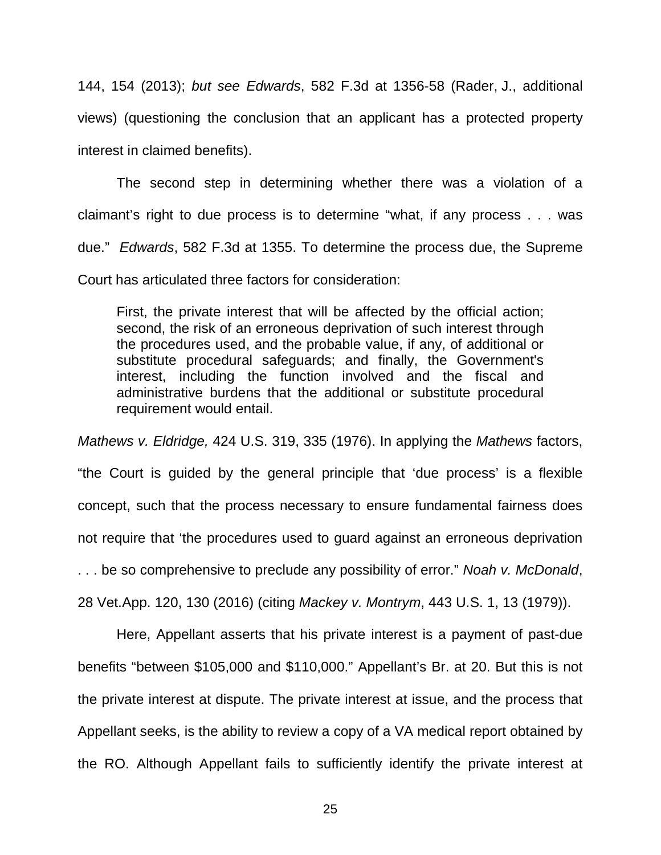144, 154 (2013); *but see Edwards*, 582 F.3d at 1356-58 (Rader, J., additional views) (questioning the conclusion that an applicant has a protected property interest in claimed benefits).

The second step in determining whether there was a violation of a claimant's right to due process is to determine "what, if any process . . . was due." *Edwards*, 582 F.3d at 1355. To determine the process due, the Supreme Court has articulated three factors for consideration:

First, the private interest that will be affected by the official action; second, the risk of an erroneous deprivation of such interest through the procedures used, and the probable value, if any, of additional or substitute procedural safeguards; and finally, the Government's interest, including the function involved and the fiscal and administrative burdens that the additional or substitute procedural requirement would entail.

*Mathews v. Eldridge,* 424 U.S. 319, 335 (1976). In applying the *Mathews* factors, "the Court is guided by the general principle that 'due process' is a flexible concept, such that the process necessary to ensure fundamental fairness does not require that 'the procedures used to guard against an erroneous deprivation . . . be so comprehensive to preclude any possibility of error." *Noah v. McDonald*,

28 Vet.App. 120, 130 (2016) (citing *Mackey v. Montrym*, 443 U.S. 1, 13 (1979)).

Here, Appellant asserts that his private interest is a payment of past-due benefits "between \$105,000 and \$110,000." Appellant's Br. at 20. But this is not the private interest at dispute. The private interest at issue, and the process that Appellant seeks, is the ability to review a copy of a VA medical report obtained by the RO. Although Appellant fails to sufficiently identify the private interest at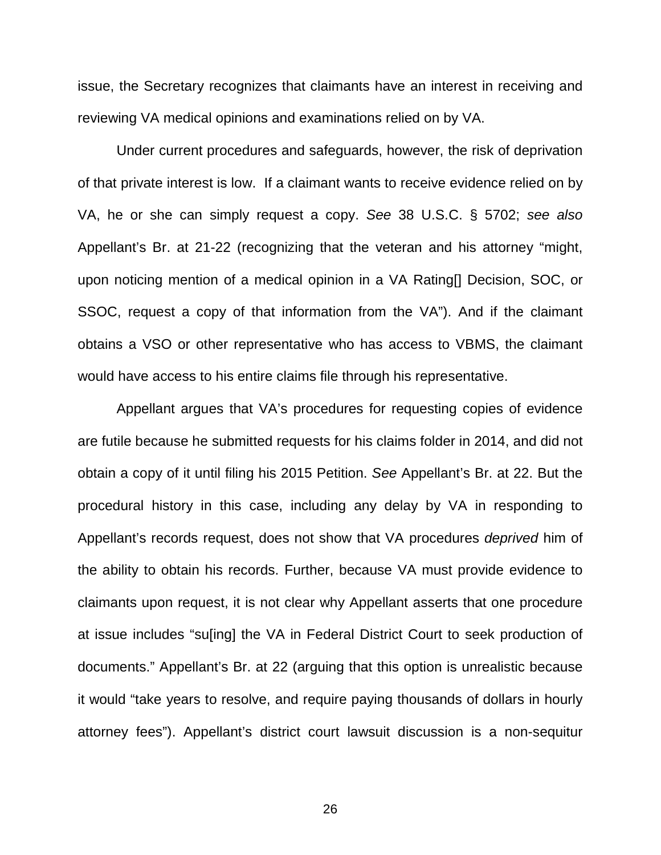issue, the Secretary recognizes that claimants have an interest in receiving and reviewing VA medical opinions and examinations relied on by VA.

Under current procedures and safeguards, however, the risk of deprivation of that private interest is low. If a claimant wants to receive evidence relied on by VA, he or she can simply request a copy. *See* 38 U.S.C. § 5702; *see also* Appellant's Br. at 21-22 (recognizing that the veteran and his attorney "might, upon noticing mention of a medical opinion in a VA Rating[] Decision, SOC, or SSOC, request a copy of that information from the VA"). And if the claimant obtains a VSO or other representative who has access to VBMS, the claimant would have access to his entire claims file through his representative.

Appellant argues that VA's procedures for requesting copies of evidence are futile because he submitted requests for his claims folder in 2014, and did not obtain a copy of it until filing his 2015 Petition. *See* Appellant's Br. at 22. But the procedural history in this case, including any delay by VA in responding to Appellant's records request, does not show that VA procedures *deprived* him of the ability to obtain his records. Further, because VA must provide evidence to claimants upon request, it is not clear why Appellant asserts that one procedure at issue includes "su[ing] the VA in Federal District Court to seek production of documents." Appellant's Br. at 22 (arguing that this option is unrealistic because it would "take years to resolve, and require paying thousands of dollars in hourly attorney fees"). Appellant's district court lawsuit discussion is a non-sequitur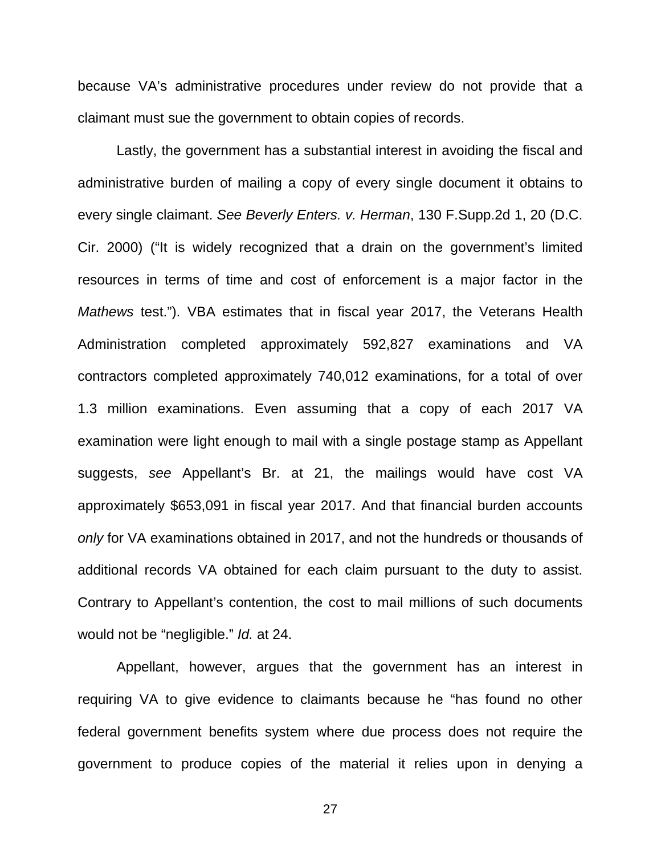because VA's administrative procedures under review do not provide that a claimant must sue the government to obtain copies of records.

Lastly, the government has a substantial interest in avoiding the fiscal and administrative burden of mailing a copy of every single document it obtains to every single claimant. *See Beverly Enters. v. Herman*, 130 F.Supp.2d 1, 20 (D.C. Cir. 2000) ("It is widely recognized that a drain on the government's limited resources in terms of time and cost of enforcement is a major factor in the *Mathews* test."). VBA estimates that in fiscal year 2017, the Veterans Health Administration completed approximately 592,827 examinations and VA contractors completed approximately 740,012 examinations, for a total of over 1.3 million examinations. Even assuming that a copy of each 2017 VA examination were light enough to mail with a single postage stamp as Appellant suggests, *see* Appellant's Br. at 21, the mailings would have cost VA approximately \$653,091 in fiscal year 2017. And that financial burden accounts *only* for VA examinations obtained in 2017, and not the hundreds or thousands of additional records VA obtained for each claim pursuant to the duty to assist. Contrary to Appellant's contention, the cost to mail millions of such documents would not be "negligible." *Id.* at 24.

Appellant, however, argues that the government has an interest in requiring VA to give evidence to claimants because he "has found no other federal government benefits system where due process does not require the government to produce copies of the material it relies upon in denying a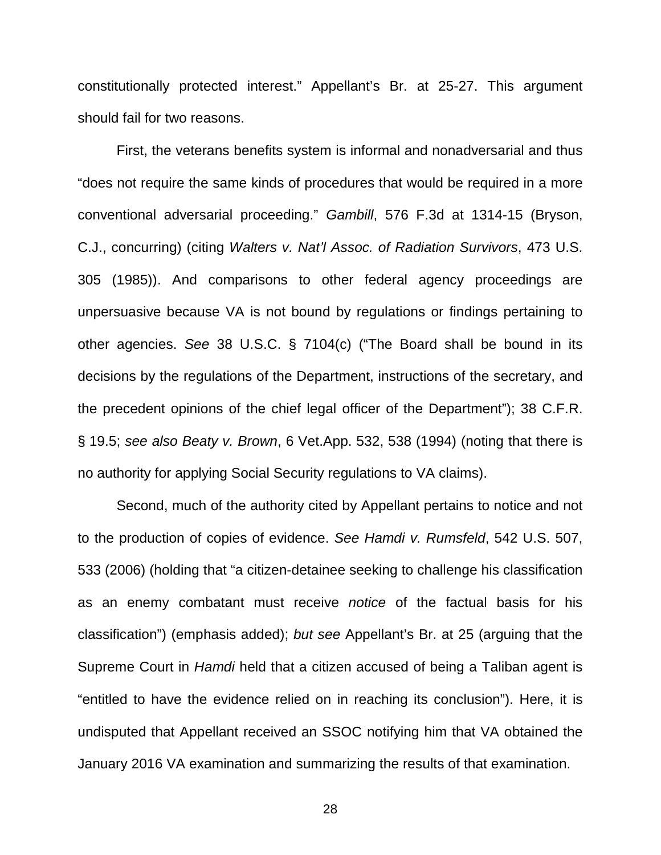constitutionally protected interest." Appellant's Br. at 25-27. This argument should fail for two reasons.

First, the veterans benefits system is informal and nonadversarial and thus "does not require the same kinds of procedures that would be required in a more conventional adversarial proceeding." *Gambill*, 576 F.3d at 1314-15 (Bryson, C.J., concurring) (citing *Walters v. Nat'l Assoc. of Radiation Survivors*, 473 U.S. 305 (1985)). And comparisons to other federal agency proceedings are unpersuasive because VA is not bound by regulations or findings pertaining to other agencies. *See* 38 U.S.C. § 7104(c) ("The Board shall be bound in its decisions by the regulations of the Department, instructions of the secretary, and the precedent opinions of the chief legal officer of the Department"); 38 C.F.R. § 19.5; *see also Beaty v. Brown*, 6 Vet.App. 532, 538 (1994) (noting that there is no authority for applying Social Security regulations to VA claims).

Second, much of the authority cited by Appellant pertains to notice and not to the production of copies of evidence. *See Hamdi v. Rumsfeld*, 542 U.S. 507, 533 (2006) (holding that "a citizen-detainee seeking to challenge his classification as an enemy combatant must receive *notice* of the factual basis for his classification") (emphasis added); *but see* Appellant's Br. at 25 (arguing that the Supreme Court in *Hamdi* held that a citizen accused of being a Taliban agent is "entitled to have the evidence relied on in reaching its conclusion"). Here, it is undisputed that Appellant received an SSOC notifying him that VA obtained the January 2016 VA examination and summarizing the results of that examination.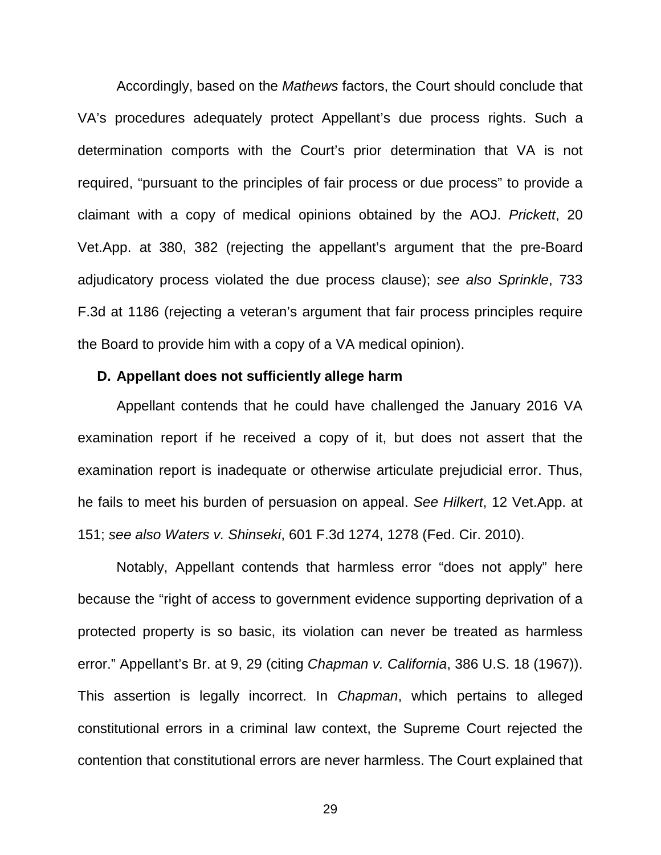Accordingly, based on the *Mathews* factors, the Court should conclude that VA's procedures adequately protect Appellant's due process rights. Such a determination comports with the Court's prior determination that VA is not required, "pursuant to the principles of fair process or due process" to provide a claimant with a copy of medical opinions obtained by the AOJ. *Prickett*, 20 Vet.App. at 380, 382 (rejecting the appellant's argument that the pre-Board adjudicatory process violated the due process clause); *see also Sprinkle*, 733 F.3d at 1186 (rejecting a veteran's argument that fair process principles require the Board to provide him with a copy of a VA medical opinion).

#### <span id="page-33-0"></span>**D. Appellant does not sufficiently allege harm**

Appellant contends that he could have challenged the January 2016 VA examination report if he received a copy of it, but does not assert that the examination report is inadequate or otherwise articulate prejudicial error. Thus, he fails to meet his burden of persuasion on appeal. *See Hilkert*, 12 Vet.App. at 151; *see also Waters v. Shinseki*, 601 F.3d 1274, 1278 (Fed. Cir. 2010).

Notably, Appellant contends that harmless error "does not apply" here because the "right of access to government evidence supporting deprivation of a protected property is so basic, its violation can never be treated as harmless error." Appellant's Br. at 9, 29 (citing *Chapman v. California*, 386 U.S. 18 (1967)). This assertion is legally incorrect. In *Chapman*, which pertains to alleged constitutional errors in a criminal law context, the Supreme Court rejected the contention that constitutional errors are never harmless. The Court explained that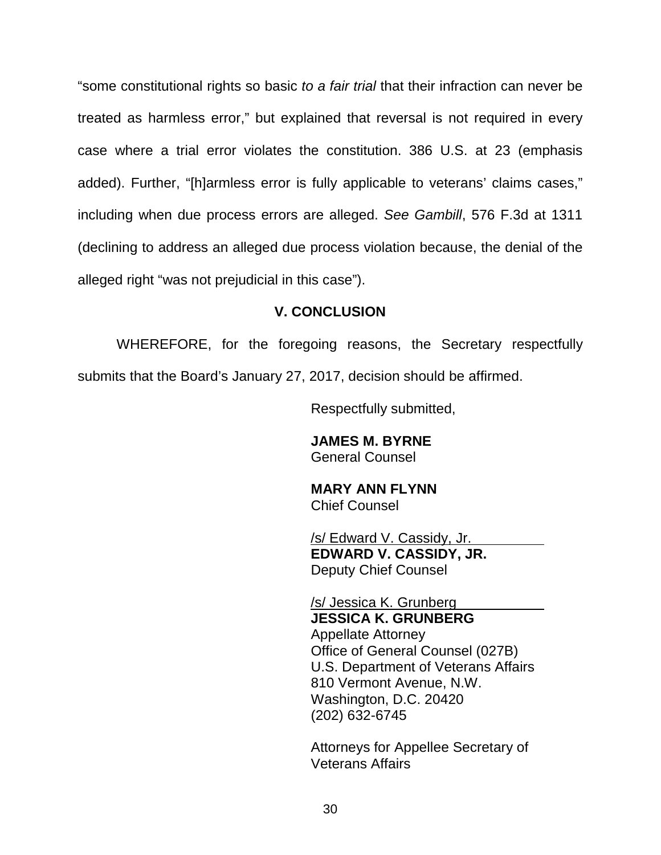"some constitutional rights so basic *to a fair trial* that their infraction can never be treated as harmless error," but explained that reversal is not required in every case where a trial error violates the constitution. 386 U.S. at 23 (emphasis added). Further, "[h]armless error is fully applicable to veterans' claims cases," including when due process errors are alleged. *See Gambill*, 576 F.3d at 1311 (declining to address an alleged due process violation because, the denial of the alleged right "was not prejudicial in this case").

### **V. CONCLUSION**

<span id="page-34-0"></span>WHEREFORE, for the foregoing reasons, the Secretary respectfully submits that the Board's January 27, 2017, decision should be affirmed.

Respectfully submitted,

**JAMES M. BYRNE** General Counsel

**MARY ANN FLYNN** Chief Counsel

/s/ Edward V. Cassidy, Jr. **EDWARD V. CASSIDY, JR.** Deputy Chief Counsel

/s/ Jessica K. Grunberg **JESSICA K. GRUNBERG** Appellate Attorney Office of General Counsel (027B) U.S. Department of Veterans Affairs 810 Vermont Avenue, N.W. Washington, D.C. 20420 (202) 632-6745

Attorneys for Appellee Secretary of Veterans Affairs